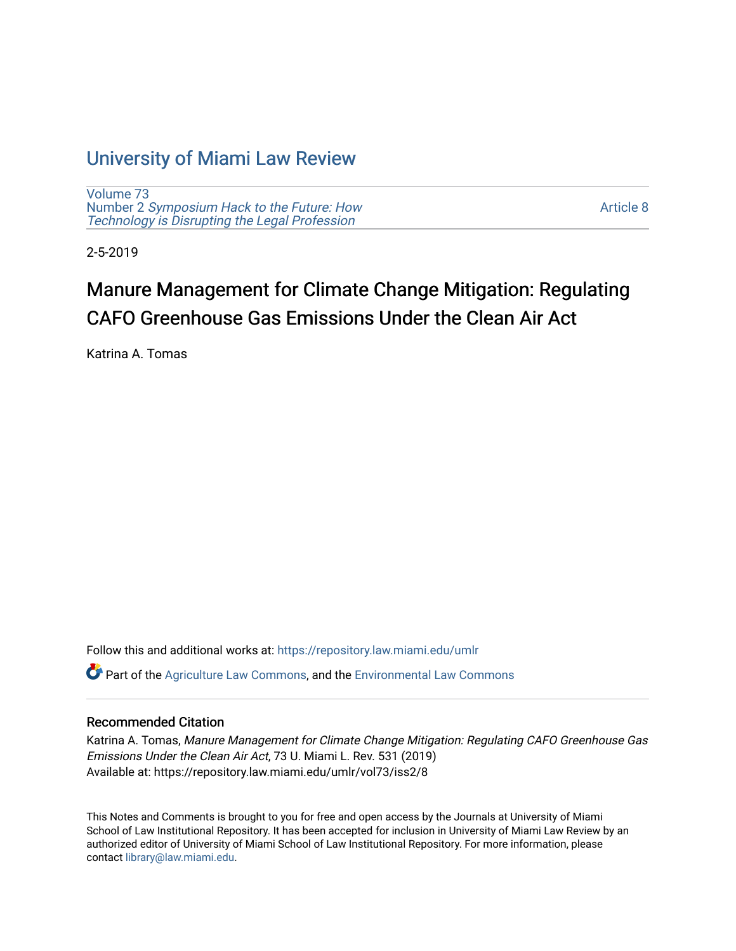## [University of Miami Law Review](https://repository.law.miami.edu/umlr)

[Volume 73](https://repository.law.miami.edu/umlr/vol73) Number 2 [Symposium Hack to the Future: How](https://repository.law.miami.edu/umlr/vol73/iss2)  [Technology is Disrupting the Legal Profession](https://repository.law.miami.edu/umlr/vol73/iss2)

[Article 8](https://repository.law.miami.edu/umlr/vol73/iss2/8) 

2-5-2019

# Manure Management for Climate Change Mitigation: Regulating CAFO Greenhouse Gas Emissions Under the Clean Air Act

Katrina A. Tomas

Follow this and additional works at: [https://repository.law.miami.edu/umlr](https://repository.law.miami.edu/umlr?utm_source=repository.law.miami.edu%2Fumlr%2Fvol73%2Fiss2%2F8&utm_medium=PDF&utm_campaign=PDFCoverPages)

Part of the [Agriculture Law Commons](http://network.bepress.com/hgg/discipline/581?utm_source=repository.law.miami.edu%2Fumlr%2Fvol73%2Fiss2%2F8&utm_medium=PDF&utm_campaign=PDFCoverPages), and the [Environmental Law Commons](http://network.bepress.com/hgg/discipline/599?utm_source=repository.law.miami.edu%2Fumlr%2Fvol73%2Fiss2%2F8&utm_medium=PDF&utm_campaign=PDFCoverPages)

## Recommended Citation

Katrina A. Tomas, Manure Management for Climate Change Mitigation: Regulating CAFO Greenhouse Gas Emissions Under the Clean Air Act, 73 U. Miami L. Rev. 531 (2019) Available at: https://repository.law.miami.edu/umlr/vol73/iss2/8

This Notes and Comments is brought to you for free and open access by the Journals at University of Miami School of Law Institutional Repository. It has been accepted for inclusion in University of Miami Law Review by an authorized editor of University of Miami School of Law Institutional Repository. For more information, please contact [library@law.miami.edu](mailto:library@law.miami.edu).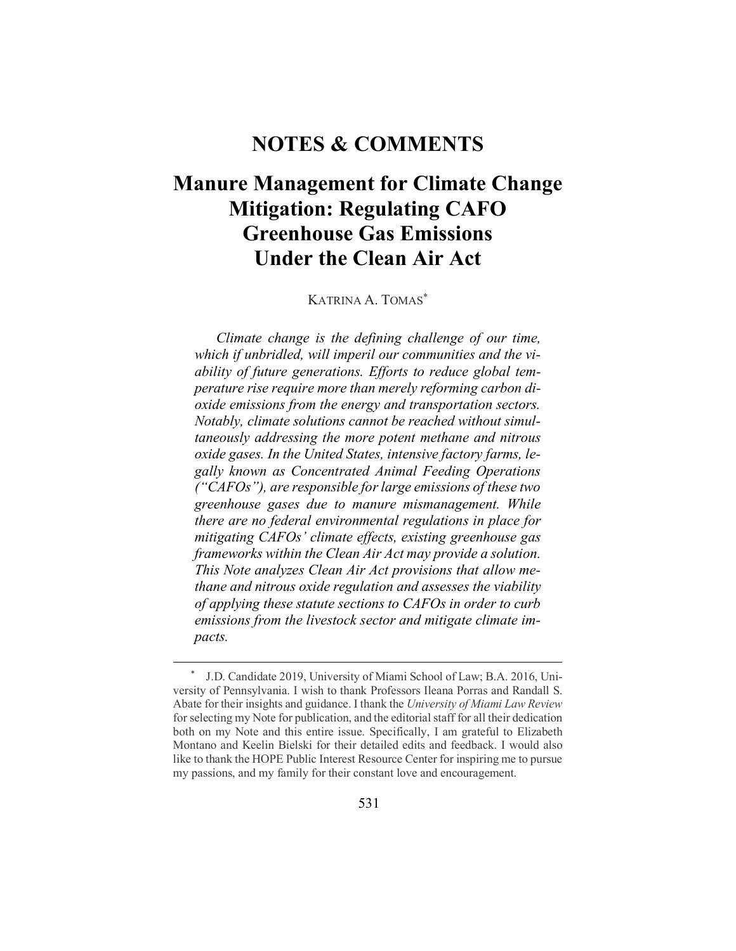## **NOTES & COMMENTS**

# **Manure Management for Climate Change Mitigation: Regulating CAFO Greenhouse Gas Emissions Under the Clean Air Act**

KATRINA A. TOMAS\*

*Climate change is the defining challenge of our time, which if unbridled, will imperil our communities and the viability of future generations. Efforts to reduce global temperature rise require more than merely reforming carbon dioxide emissions from the energy and transportation sectors. Notably, climate solutions cannot be reached without simultaneously addressing the more potent methane and nitrous oxide gases. In the United States, intensive factory farms, legally known as Concentrated Animal Feeding Operations ("CAFOs"), are responsible for large emissions of these two greenhouse gases due to manure mismanagement. While there are no federal environmental regulations in place for mitigating CAFOs' climate effects, existing greenhouse gas frameworks within the Clean Air Act may provide a solution. This Note analyzes Clean Air Act provisions that allow methane and nitrous oxide regulation and assesses the viability of applying these statute sections to CAFOs in order to curb emissions from the livestock sector and mitigate climate impacts.* 

 <sup>\*</sup> J.D. Candidate 2019, University of Miami School of Law; B.A. 2016, University of Pennsylvania. I wish to thank Professors Ileana Porras and Randall S. Abate for their insights and guidance. I thank the *University of Miami Law Review* for selecting my Note for publication, and the editorial staff for all their dedication both on my Note and this entire issue. Specifically, I am grateful to Elizabeth Montano and Keelin Bielski for their detailed edits and feedback. I would also like to thank the HOPE Public Interest Resource Center for inspiring me to pursue my passions, and my family for their constant love and encouragement.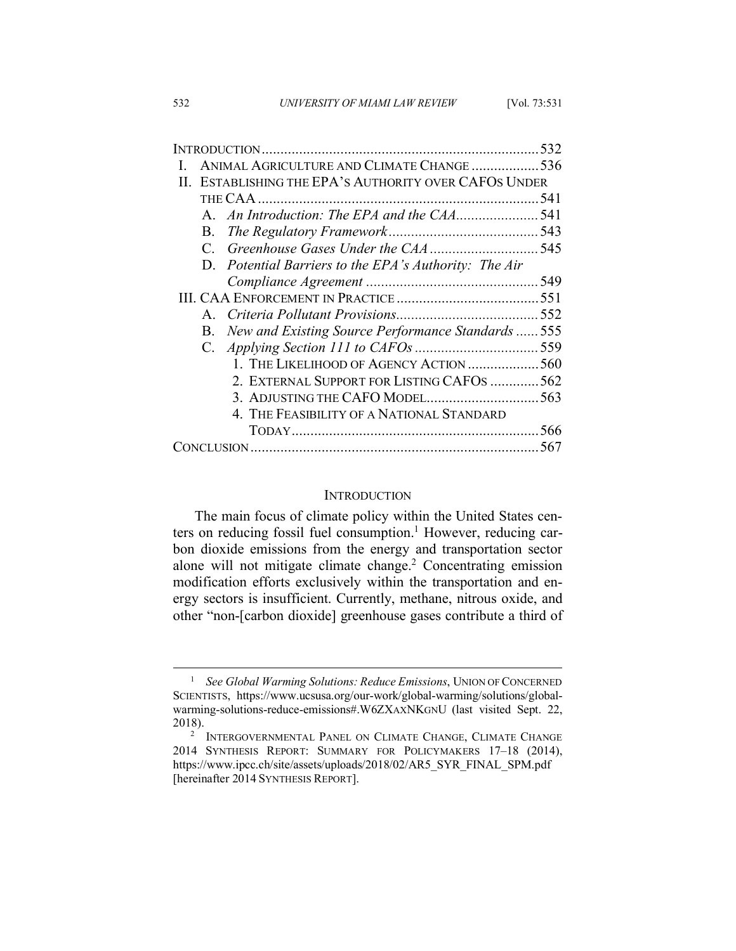| ANIMAL AGRICULTURE AND CLIMATE CHANGE 536<br>ESTABLISHING THE EPA'S AUTHORITY OVER CAFOS UNDER<br>$\mathbf{H}$<br>541<br>В.<br>D. Potential Barriers to the EPA's Authority: The Air<br>$\mathbf{A}$<br>New and Existing Source Performance Standards  555<br>В.<br>1. THE LIKELIHOOD OF AGENCY ACTION 560<br>2. EXTERNAL SUPPORT FOR LISTING CAFOS 562<br>4. THE FEASIBILITY OF A NATIONAL STANDARD<br>567 |  |  |  | 532 |
|-------------------------------------------------------------------------------------------------------------------------------------------------------------------------------------------------------------------------------------------------------------------------------------------------------------------------------------------------------------------------------------------------------------|--|--|--|-----|
|                                                                                                                                                                                                                                                                                                                                                                                                             |  |  |  |     |
|                                                                                                                                                                                                                                                                                                                                                                                                             |  |  |  |     |
|                                                                                                                                                                                                                                                                                                                                                                                                             |  |  |  |     |
|                                                                                                                                                                                                                                                                                                                                                                                                             |  |  |  |     |
|                                                                                                                                                                                                                                                                                                                                                                                                             |  |  |  |     |
|                                                                                                                                                                                                                                                                                                                                                                                                             |  |  |  |     |
|                                                                                                                                                                                                                                                                                                                                                                                                             |  |  |  |     |
|                                                                                                                                                                                                                                                                                                                                                                                                             |  |  |  |     |
|                                                                                                                                                                                                                                                                                                                                                                                                             |  |  |  |     |
|                                                                                                                                                                                                                                                                                                                                                                                                             |  |  |  |     |
|                                                                                                                                                                                                                                                                                                                                                                                                             |  |  |  |     |
|                                                                                                                                                                                                                                                                                                                                                                                                             |  |  |  |     |
|                                                                                                                                                                                                                                                                                                                                                                                                             |  |  |  |     |
|                                                                                                                                                                                                                                                                                                                                                                                                             |  |  |  |     |
|                                                                                                                                                                                                                                                                                                                                                                                                             |  |  |  |     |
|                                                                                                                                                                                                                                                                                                                                                                                                             |  |  |  |     |
|                                                                                                                                                                                                                                                                                                                                                                                                             |  |  |  |     |
|                                                                                                                                                                                                                                                                                                                                                                                                             |  |  |  |     |

#### **INTRODUCTION**

The main focus of climate policy within the United States centers on reducing fossil fuel consumption.<sup>1</sup> However, reducing carbon dioxide emissions from the energy and transportation sector alone will not mitigate climate change.<sup>2</sup> Concentrating emission modification efforts exclusively within the transportation and energy sectors is insufficient. Currently, methane, nitrous oxide, and other "non-[carbon dioxide] greenhouse gases contribute a third of

<sup>&</sup>lt;sup>1</sup> *See Global Warming Solutions: Reduce Emissions*, UNION OF CONCERNED SCIENTISTS, https://www.ucsusa.org/our-work/global-warming/solutions/globalwarming-solutions-reduce-emissions#.W6ZXAXNKGNU (last visited Sept. 22, 2018).

<sup>&</sup>lt;sup>2</sup> INTERGOVERNMENTAL PANEL ON CLIMATE CHANGE, CLIMATE CHANGE 2014 SYNTHESIS REPORT: SUMMARY FOR POLICYMAKERS 17–18 (2014), https://www.ipcc.ch/site/assets/uploads/2018/02/AR5\_SYR\_FINAL\_SPM.pdf [hereinafter 2014 SYNTHESIS REPORT].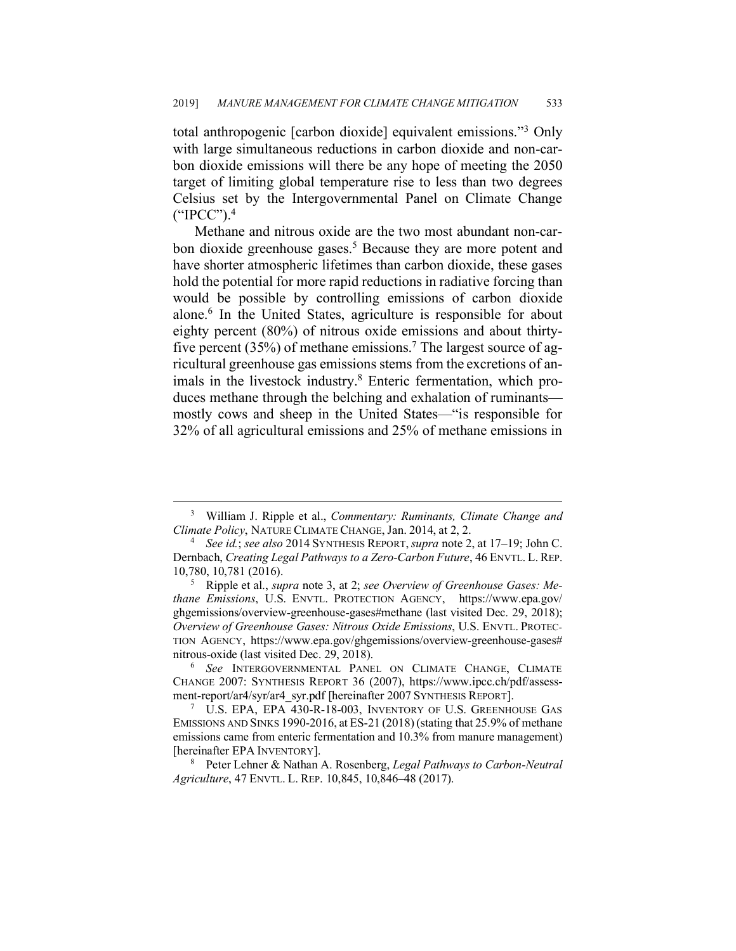total anthropogenic [carbon dioxide] equivalent emissions."3 Only with large simultaneous reductions in carbon dioxide and non-carbon dioxide emissions will there be any hope of meeting the 2050 target of limiting global temperature rise to less than two degrees Celsius set by the Intergovernmental Panel on Climate Change ("IPCC"). 4

Methane and nitrous oxide are the two most abundant non-carbon dioxide greenhouse gases.<sup>5</sup> Because they are more potent and have shorter atmospheric lifetimes than carbon dioxide, these gases hold the potential for more rapid reductions in radiative forcing than would be possible by controlling emissions of carbon dioxide alone.6 In the United States, agriculture is responsible for about eighty percent (80%) of nitrous oxide emissions and about thirtyfive percent (35%) of methane emissions.<sup>7</sup> The largest source of agricultural greenhouse gas emissions stems from the excretions of animals in the livestock industry.<sup>8</sup> Enteric fermentation, which produces methane through the belching and exhalation of ruminants mostly cows and sheep in the United States—"is responsible for 32% of all agricultural emissions and 25% of methane emissions in

 <sup>3</sup> William J. Ripple et al., *Commentary: Ruminants, Climate Change and Climate Policy*, NATURE CLIMATE CHANGE, Jan. 2014, at 2, 2.

<sup>4</sup> *See id.*; *see also* 2014 SYNTHESIS REPORT, *supra* note 2, at 17–19; John C. Dernbach, *Creating Legal Pathways to a Zero-Carbon Future*, 46 ENVTL. L. REP. 10,780, 10,781 (2016). 5 Ripple et al., *supra* note 3, at 2; *see Overview of Greenhouse Gases: Me-*

*thane Emissions*, U.S. ENVTL. PROTECTION AGENCY, https://www.epa.gov/ ghgemissions/overview-greenhouse-gases#methane (last visited Dec. 29, 2018); *Overview of Greenhouse Gases: Nitrous Oxide Emissions*, U.S. ENVTL. PROTEC-TION AGENCY, https://www.epa.gov/ghgemissions/overview-greenhouse-gases# nitrous-oxide (last visited Dec. 29, 2018).

<sup>6</sup> *See* INTERGOVERNMENTAL PANEL ON CLIMATE CHANGE, CLIMATE CHANGE 2007: SYNTHESIS REPORT 36 (2007), https://www.ipcc.ch/pdf/assessment-report/ar4/syr/ar4\_syr.pdf [hereinafter 2007 SYNTHESIS REPORT].

 $7$  U.S. EPA, EPA 430-R-18-003, INVENTORY OF U.S. GREENHOUSE GAS EMISSIONS AND SINKS 1990-2016, at ES-21 (2018) (stating that 25.9% of methane emissions came from enteric fermentation and 10.3% from manure management) [hereinafter EPA INVENTORY].

<sup>8</sup> Peter Lehner & Nathan A. Rosenberg, *Legal Pathways to Carbon-Neutral Agriculture*, 47 ENVTL. L. REP. 10,845, 10,846–48 (2017).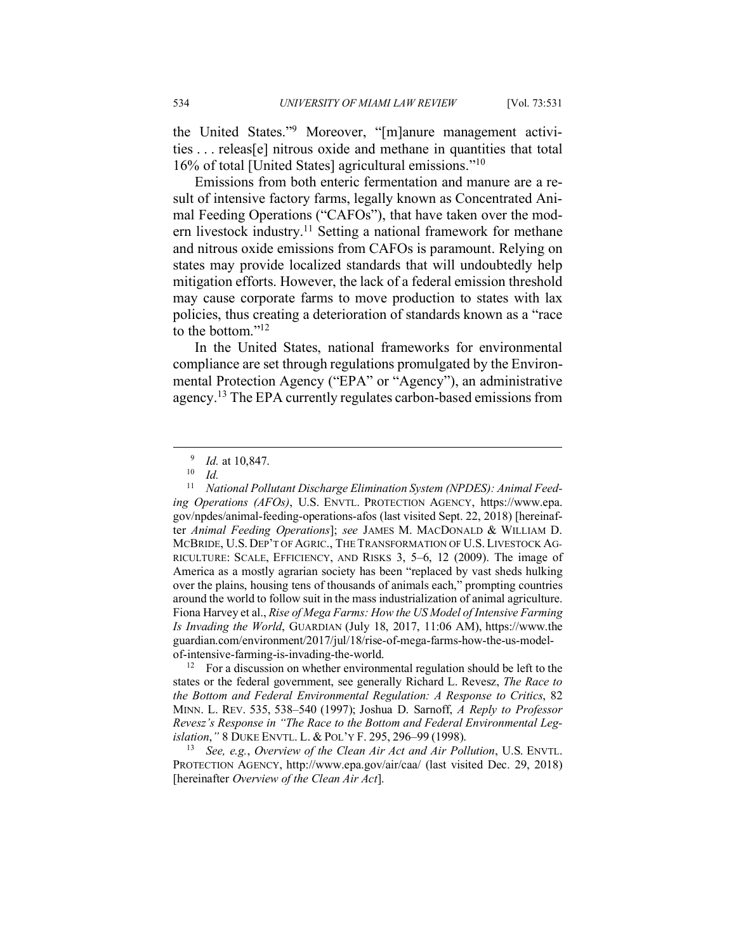the United States."9 Moreover, "[m]anure management activities . . . releas[e] nitrous oxide and methane in quantities that total 16% of total [United States] agricultural emissions."10

Emissions from both enteric fermentation and manure are a result of intensive factory farms, legally known as Concentrated Animal Feeding Operations ("CAFOs"), that have taken over the modern livestock industry.<sup>11</sup> Setting a national framework for methane and nitrous oxide emissions from CAFOs is paramount. Relying on states may provide localized standards that will undoubtedly help mitigation efforts. However, the lack of a federal emission threshold may cause corporate farms to move production to states with lax policies, thus creating a deterioration of standards known as a "race to the bottom."<sup>12</sup>

In the United States, national frameworks for environmental compliance are set through regulations promulgated by the Environmental Protection Agency ("EPA" or "Agency"), an administrative agency. <sup>13</sup> The EPA currently regulates carbon-based emissions from

<sup>12</sup> For a discussion on whether environmental regulation should be left to the states or the federal government, see generally Richard L. Revesz, *The Race to the Bottom and Federal Environmental Regulation: A Response to Critics*, 82 MINN. L. REV. 535, 538–540 (1997); Joshua D. Sarnoff, *A Reply to Professor Revesz's Response in "The Race to the Bottom and Federal Environmental Legislation*,*"* 8 DUKE ENVTL. L. & POL'Y F. 295, 296–99 (1998).

<sup>13</sup> *See, e.g.*, *Overview of the Clean Air Act and Air Pollution*, U.S. ENVTL. PROTECTION AGENCY, http://www.epa.gov/air/caa/ (last visited Dec. 29, 2018) [hereinafter *Overview of the Clean Air Act*].

 $\frac{9}{10}$  *Id.* at 10,847.

 $\frac{10}{11}$  *Id.* 

<sup>11</sup> *National Pollutant Discharge Elimination System (NPDES): Animal Feeding Operations (AFOs)*, U.S. ENVTL. PROTECTION AGENCY, https://www.epa. gov/npdes/animal-feeding-operations-afos (last visited Sept. 22, 2018) [hereinafter *Animal Feeding Operations*]; *see* JAMES M. MACDONALD & WILLIAM D. MCBRIDE, U.S. DEP'T OF AGRIC., THE TRANSFORMATION OF U.S. LIVESTOCK AG-RICULTURE: SCALE, EFFICIENCY, AND RISKS 3, 5–6, 12 (2009). The image of America as a mostly agrarian society has been "replaced by vast sheds hulking over the plains, housing tens of thousands of animals each," prompting countries around the world to follow suit in the mass industrialization of animal agriculture. Fiona Harvey et al., *Rise of Mega Farms: How the US Model of Intensive Farming Is Invading the World*, GUARDIAN (July 18, 2017, 11:06 AM), https://www.the guardian.com/environment/2017/jul/18/rise-of-mega-farms-how-the-us-modelof-intensive-farming-is-invading-the-world.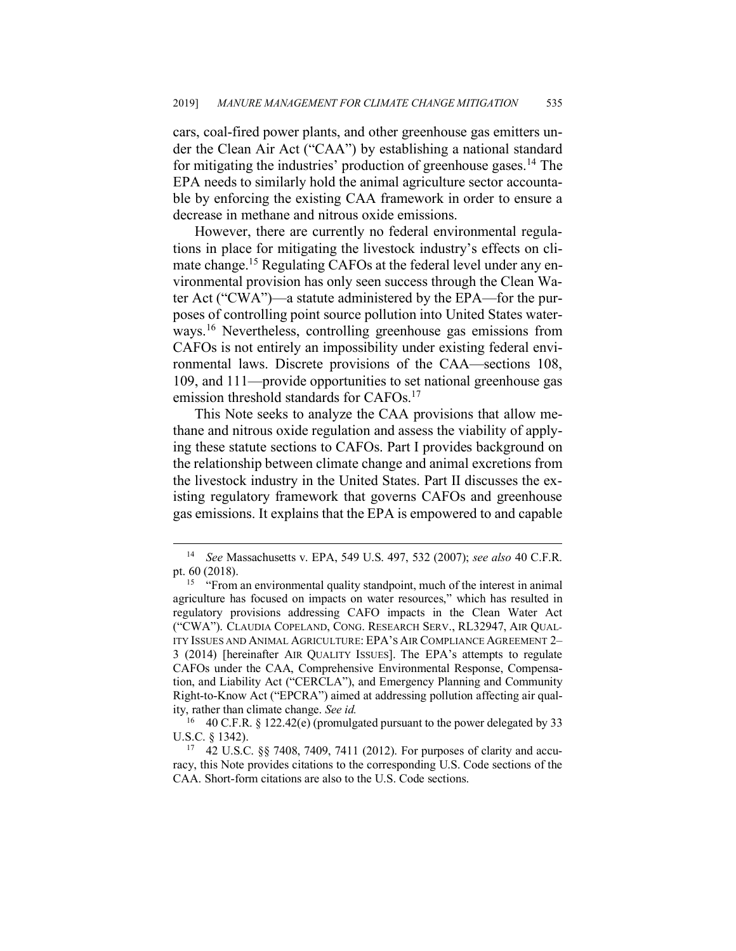cars, coal-fired power plants, and other greenhouse gas emitters under the Clean Air Act ("CAA") by establishing a national standard for mitigating the industries' production of greenhouse gases. <sup>14</sup> The EPA needs to similarly hold the animal agriculture sector accountable by enforcing the existing CAA framework in order to ensure a decrease in methane and nitrous oxide emissions.

However, there are currently no federal environmental regulations in place for mitigating the livestock industry's effects on climate change.<sup>15</sup> Regulating CAFOs at the federal level under any environmental provision has only seen success through the Clean Water Act ("CWA")—a statute administered by the EPA—for the purposes of controlling point source pollution into United States waterways.16 Nevertheless, controlling greenhouse gas emissions from CAFOs is not entirely an impossibility under existing federal environmental laws. Discrete provisions of the CAA—sections 108, 109, and 111—provide opportunities to set national greenhouse gas emission threshold standards for CAFOs.<sup>17</sup>

This Note seeks to analyze the CAA provisions that allow methane and nitrous oxide regulation and assess the viability of applying these statute sections to CAFOs. Part I provides background on the relationship between climate change and animal excretions from the livestock industry in the United States. Part II discusses the existing regulatory framework that governs CAFOs and greenhouse gas emissions. It explains that the EPA is empowered to and capable

 <sup>14</sup> *See* Massachusetts v. EPA, 549 U.S. 497, 532 (2007); *see also* 40 C.F.R. pt. 60 (2018).

<sup>15</sup> "From an environmental quality standpoint, much of the interest in animal agriculture has focused on impacts on water resources," which has resulted in regulatory provisions addressing CAFO impacts in the Clean Water Act ("CWA"). CLAUDIA COPELAND, CONG. RESEARCH SERV., RL32947, AIR QUAL-ITY ISSUES AND ANIMAL AGRICULTURE: EPA'S AIR COMPLIANCE AGREEMENT 2– 3 (2014) [hereinafter AIR QUALITY ISSUES]. The EPA's attempts to regulate CAFOs under the CAA, Comprehensive Environmental Response, Compensation, and Liability Act ("CERCLA"), and Emergency Planning and Community Right-to-Know Act ("EPCRA") aimed at addressing pollution affecting air quality, rather than climate change. *See id.*

<sup>&</sup>lt;sup>16</sup> 40 C.F.R. § 122.42(e) (promulgated pursuant to the power delegated by 33 U.S.C. § 1342).

<sup>17</sup> 42 U.S.C. §§ 7408, 7409, 7411 (2012). For purposes of clarity and accuracy, this Note provides citations to the corresponding U.S. Code sections of the CAA. Short-form citations are also to the U.S. Code sections.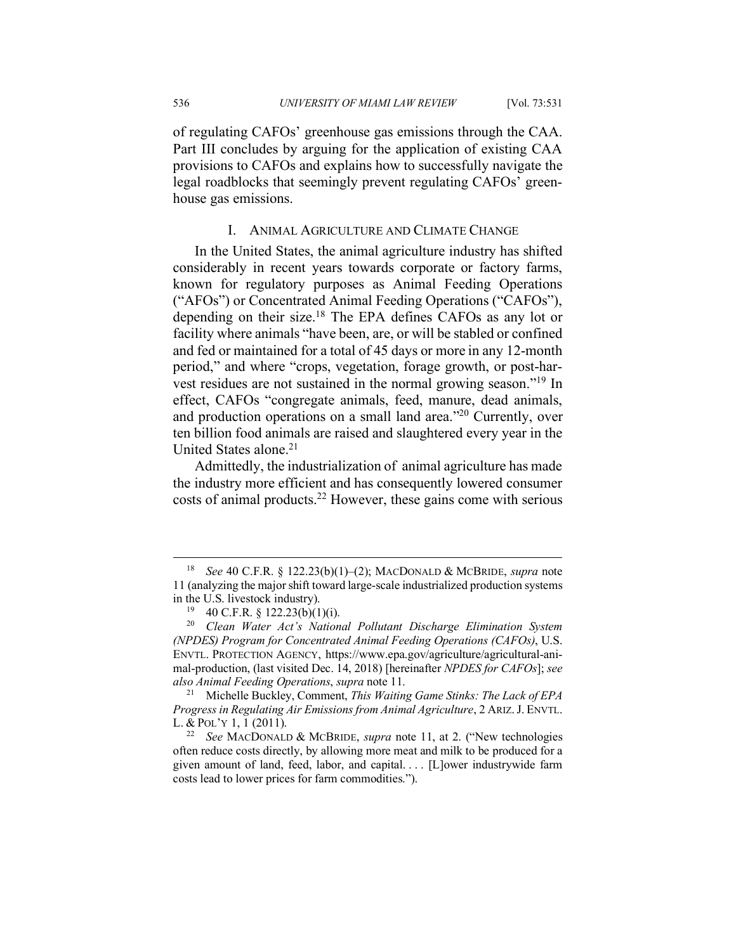of regulating CAFOs' greenhouse gas emissions through the CAA. Part III concludes by arguing for the application of existing CAA provisions to CAFOs and explains how to successfully navigate the legal roadblocks that seemingly prevent regulating CAFOs' greenhouse gas emissions.

#### I. ANIMAL AGRICULTURE AND CLIMATE CHANGE

In the United States, the animal agriculture industry has shifted considerably in recent years towards corporate or factory farms, known for regulatory purposes as Animal Feeding Operations ("AFOs") or Concentrated Animal Feeding Operations ("CAFOs"), depending on their size. <sup>18</sup> The EPA defines CAFOs as any lot or facility where animals "have been, are, or will be stabled or confined and fed or maintained for a total of 45 days or more in any 12-month period," and where "crops, vegetation, forage growth, or post-harvest residues are not sustained in the normal growing season."19 In effect, CAFOs "congregate animals, feed, manure, dead animals, and production operations on a small land area."20 Currently, over ten billion food animals are raised and slaughtered every year in the United States alone.<sup>21</sup>

Admittedly, the industrialization of animal agriculture has made the industry more efficient and has consequently lowered consumer costs of animal products.22 However, these gains come with serious

 <sup>18</sup> *See* 40 C.F.R. § 122.23(b)(1)–(2); MACDONALD & MCBRIDE, *supra* note 11 (analyzing the major shift toward large-scale industrialized production systems in the U.S. livestock industry).

 $19$  40 C.F.R. § 122.23(b)(1)(i).

<sup>20</sup> *Clean Water Act's National Pollutant Discharge Elimination System (NPDES) Program for Concentrated Animal Feeding Operations (CAFOs)*, U.S. ENVTL. PROTECTION AGENCY, https://www.epa.gov/agriculture/agricultural-animal-production, (last visited Dec. 14, 2018) [hereinafter *NPDES for CAFOs*]; *see also Animal Feeding Operations*, *supra* note 11. 21 Michelle Buckley, Comment, *This Waiting Game Stinks: The Lack of EPA* 

*Progress in Regulating Air Emissions from Animal Agriculture*, 2 ARIZ.J. ENVTL. L. & POL'Y 1, 1 (2011).

<sup>22</sup> *See* MACDONALD & MCBRIDE, *supra* note 11, at 2. ("New technologies often reduce costs directly, by allowing more meat and milk to be produced for a given amount of land, feed, labor, and capital. . . . [L]ower industrywide farm costs lead to lower prices for farm commodities.").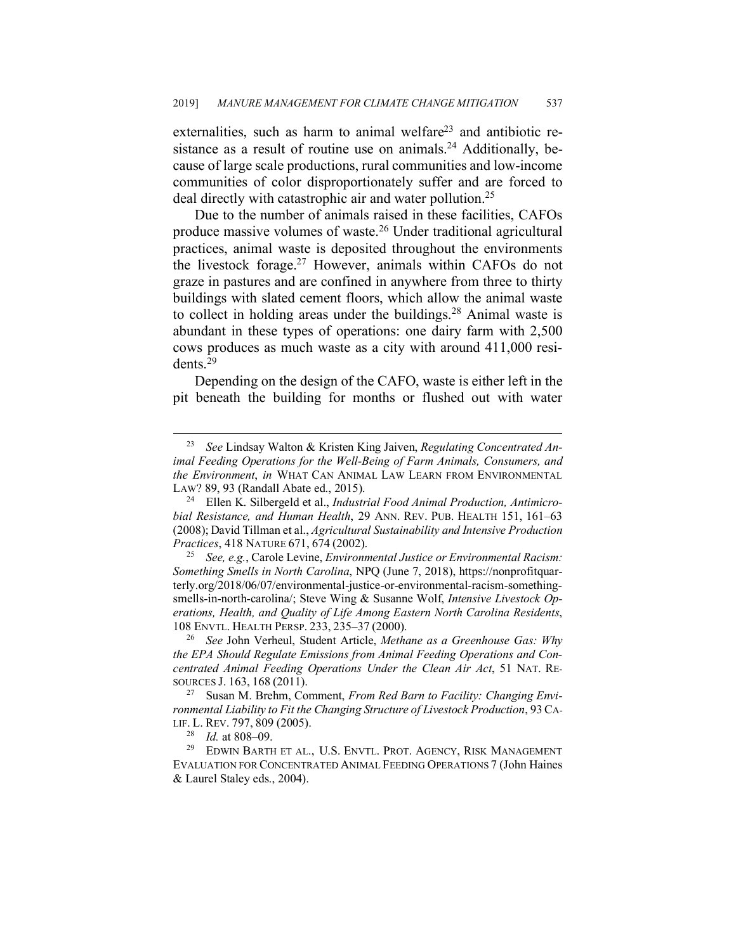externalities, such as harm to animal welfare<sup>23</sup> and antibiotic resistance as a result of routine use on animals.<sup>24</sup> Additionally, because of large scale productions, rural communities and low-income communities of color disproportionately suffer and are forced to deal directly with catastrophic air and water pollution.<sup>25</sup>

Due to the number of animals raised in these facilities, CAFOs produce massive volumes of waste.26 Under traditional agricultural practices, animal waste is deposited throughout the environments the livestock forage.27 However, animals within CAFOs do not graze in pastures and are confined in anywhere from three to thirty buildings with slated cement floors, which allow the animal waste to collect in holding areas under the buildings. <sup>28</sup> Animal waste is abundant in these types of operations: one dairy farm with 2,500 cows produces as much waste as a city with around 411,000 residents. 29

Depending on the design of the CAFO, waste is either left in the pit beneath the building for months or flushed out with water

 <sup>23</sup> *See* Lindsay Walton & Kristen King Jaiven, *Regulating Concentrated Animal Feeding Operations for the Well-Being of Farm Animals, Consumers, and the Environment*, *in* WHAT CAN ANIMAL LAW LEARN FROM ENVIRONMENTAL

LAW? 89, 93 (Randall Abate ed., 2015). 24 Ellen K. Silbergeld et al., *Industrial Food Animal Production, Antimicrobial Resistance, and Human Health*, 29 ANN. REV. PUB. HEALTH 151, 161–63 (2008); David Tillman et al., *Agricultural Sustainability and Intensive Production Practices*, 418 NATURE 671, 674 (2002).

<sup>25</sup> *See, e.g.*, Carole Levine, *Environmental Justice or Environmental Racism: Something Smells in North Carolina*, NPQ (June 7, 2018), https://nonprofitquarterly.org/2018/06/07/environmental-justice-or-environmental-racism-somethingsmells-in-north-carolina/; Steve Wing & Susanne Wolf, *Intensive Livestock Operations, Health, and Quality of Life Among Eastern North Carolina Residents*, 108 ENVTL. HEALTH PERSP. 233, 235–37 (2000).

<sup>26</sup> *See* John Verheul, Student Article, *Methane as a Greenhouse Gas: Why the EPA Should Regulate Emissions from Animal Feeding Operations and Concentrated Animal Feeding Operations Under the Clean Air Act*, 51 NAT. RE-SOURCES J. 163, 168 (2011).

<sup>27</sup> Susan M. Brehm, Comment, *From Red Barn to Facility: Changing Environmental Liability to Fit the Changing Structure of Livestock Production*, 93CA-LIF. L. REV. 797, 809 (2005).

<sup>28</sup> *Id.* at 808–09.

<sup>29</sup> EDWIN BARTH ET AL., U.S. ENVTL. PROT. AGENCY, RISK MANAGEMENT EVALUATION FOR CONCENTRATED ANIMAL FEEDING OPERATIONS 7 (John Haines & Laurel Staley eds., 2004).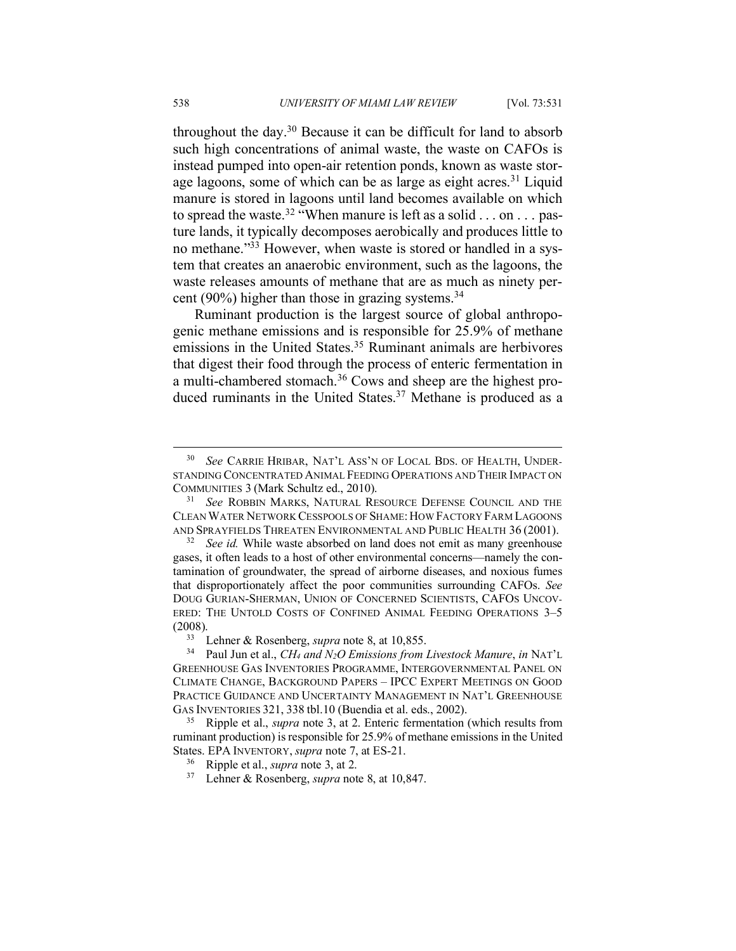throughout the day.30 Because it can be difficult for land to absorb such high concentrations of animal waste, the waste on CAFOs is instead pumped into open-air retention ponds, known as waste storage lagoons, some of which can be as large as eight acres.<sup>31</sup> Liquid manure is stored in lagoons until land becomes available on which to spread the waste.<sup>32</sup> "When manure is left as a solid . . . on . . . pasture lands, it typically decomposes aerobically and produces little to no methane."33 However, when waste is stored or handled in a system that creates an anaerobic environment, such as the lagoons, the waste releases amounts of methane that are as much as ninety percent (90%) higher than those in grazing systems. $34$ 

Ruminant production is the largest source of global anthropogenic methane emissions and is responsible for 25.9% of methane emissions in the United States. <sup>35</sup> Ruminant animals are herbivores that digest their food through the process of enteric fermentation in a multi-chambered stomach.36 Cows and sheep are the highest produced ruminants in the United States. <sup>37</sup> Methane is produced as a

 <sup>30</sup> *See* CARRIE HRIBAR, NAT'L ASS'N OF LOCAL BDS. OF HEALTH, UNDER-STANDING CONCENTRATED ANIMAL FEEDING OPERATIONS AND THEIR IMPACT ON COMMUNITIES 3 (Mark Schultz ed., 2010).

<sup>31</sup> *See* ROBBIN MARKS, NATURAL RESOURCE DEFENSE COUNCIL AND THE CLEAN WATER NETWORK CESSPOOLS OF SHAME: HOW FACTORY FARM LAGOONS AND SPRAYFIELDS THREATEN ENVIRONMENTAL AND PUBLIC HEALTH 36 (2001).

<sup>&</sup>lt;sup>32</sup> *See id.* While waste absorbed on land does not emit as many greenhouse gases, it often leads to a host of other environmental concerns—namely the contamination of groundwater, the spread of airborne diseases, and noxious fumes that disproportionately affect the poor communities surrounding CAFOs. *See*  DOUG GURIAN-SHERMAN, UNION OF CONCERNED SCIENTISTS, CAFOS UNCOV-ERED: THE UNTOLD COSTS OF CONFINED ANIMAL FEEDING OPERATIONS 3–5 (2008).<br><sup>33</sup> Lehner & Rosenberg, *supra* note 8, at 10,855.<br><sup>34</sup> Paul Jun et al *CH<sub>4</sub> and N*<sub>2</sub>O Emissions from

<sup>34</sup> Paul Jun et al., *CH4 and N2O Emissions from Livestock Manure*, *in* NAT'L GREENHOUSE GAS INVENTORIES PROGRAMME, INTERGOVERNMENTAL PANEL ON CLIMATE CHANGE, BACKGROUND PAPERS – IPCC EXPERT MEETINGS ON GOOD PRACTICE GUIDANCE AND UNCERTAINTY MANAGEMENT IN NAT'L GREENHOUSE GAS INVENTORIES 321, <sup>338</sup> tbl.10 (Buendia et al. eds., 2002). 35 Ripple et al., *supra* note 3, at 2. Enteric fermentation (which results from

ruminant production) is responsible for 25.9% of methane emissions in the United States. EPA INVENTORY, *supra* note 7, at ES-21.

<sup>36</sup> Ripple et al., *supra* note 3, at 2.

<sup>37</sup> Lehner & Rosenberg, *supra* note 8, at 10,847.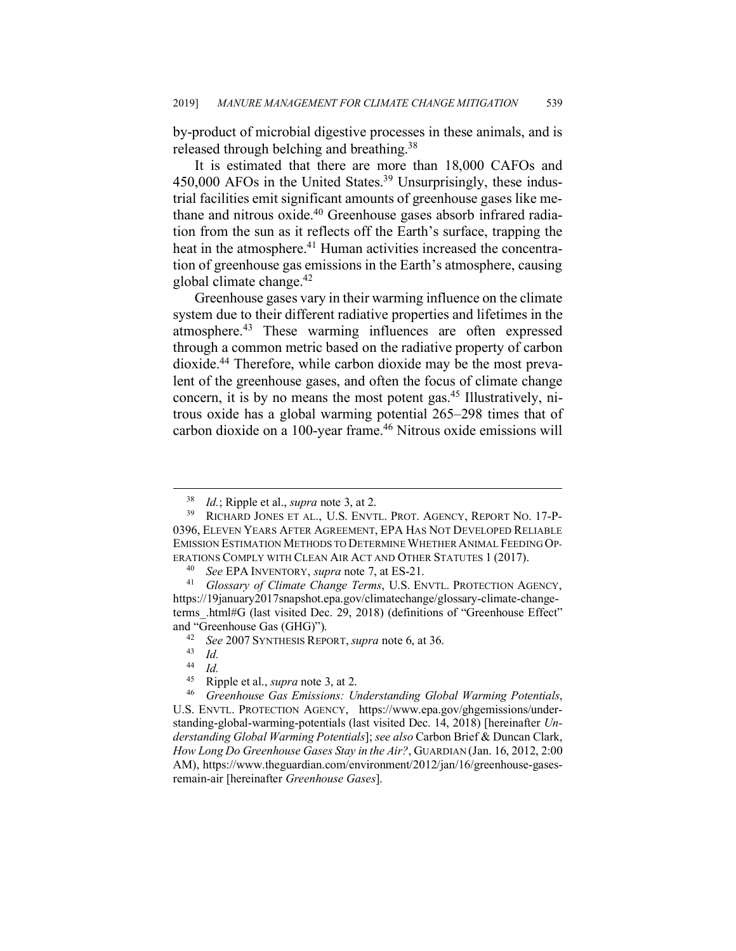by-product of microbial digestive processes in these animals, and is released through belching and breathing.38

It is estimated that there are more than 18,000 CAFOs and 450,000 AFOs in the United States.<sup>39</sup> Unsurprisingly, these industrial facilities emit significant amounts of greenhouse gases like methane and nitrous oxide.<sup>40</sup> Greenhouse gases absorb infrared radiation from the sun as it reflects off the Earth's surface, trapping the heat in the atmosphere.<sup>41</sup> Human activities increased the concentration of greenhouse gas emissions in the Earth's atmosphere, causing global climate change. $42$ 

Greenhouse gases vary in their warming influence on the climate system due to their different radiative properties and lifetimes in the atmosphere.43 These warming influences are often expressed through a common metric based on the radiative property of carbon dioxide.44 Therefore, while carbon dioxide may be the most prevalent of the greenhouse gases, and often the focus of climate change concern, it is by no means the most potent gas.45 Illustratively, nitrous oxide has a global warming potential 265–298 times that of carbon dioxide on a 100-year frame.<sup>46</sup> Nitrous oxide emissions will

 <sup>38</sup> *Id.*; Ripple et al., *supra* note 3, at 2.

<sup>39</sup> RICHARD JONES ET AL., U.S. ENVTL. PROT. AGENCY, REPORT NO. 17-P-0396, ELEVEN YEARS AFTER AGREEMENT, EPA HAS NOT DEVELOPED RELIABLE EMISSION ESTIMATION METHODS TO DETERMINE WHETHER ANIMAL FEEDING OP-ERATIONS COMPLY WITH CLEAN AIR ACT AND OTHER STATUTES 1 (2017).

<sup>40</sup> *See* EPA INVENTORY, *supra* note 7, at ES-21.

<sup>41</sup> *Glossary of Climate Change Terms*, U.S. ENVTL. PROTECTION AGENCY, https://19january2017snapshot.epa.gov/climatechange/glossary-climate-changeterms\_.html#G (last visited Dec. 29, 2018) (definitions of "Greenhouse Effect" and "Greenhouse Gas (GHG)"). 42 *See* <sup>2007</sup> SYNTHESIS REPORT, *supra* note 6, at 36.

 $\begin{array}{cc} 43 & Id. \\ 44 & Id. \end{array}$ 

 $\frac{44}{45}$  *Id.* 

<sup>&</sup>lt;sup>45</sup> Ripple et al., *supra* note 3, at 2.<br><sup>46</sup> Greenhouse Gas Emissions: *U* 

<sup>46</sup> *Greenhouse Gas Emissions: Understanding Global Warming Potentials*, U.S. ENVTL. PROTECTION AGENCY, https://www.epa.gov/ghgemissions/understanding-global-warming-potentials (last visited Dec. 14, 2018) [hereinafter *Understanding Global Warming Potentials*]; *see also* Carbon Brief & Duncan Clark, *How Long Do Greenhouse Gases Stay in the Air?*, GUARDIAN (Jan. 16, 2012, 2:00 AM), https://www.theguardian.com/environment/2012/jan/16/greenhouse-gasesremain-air [hereinafter *Greenhouse Gases*].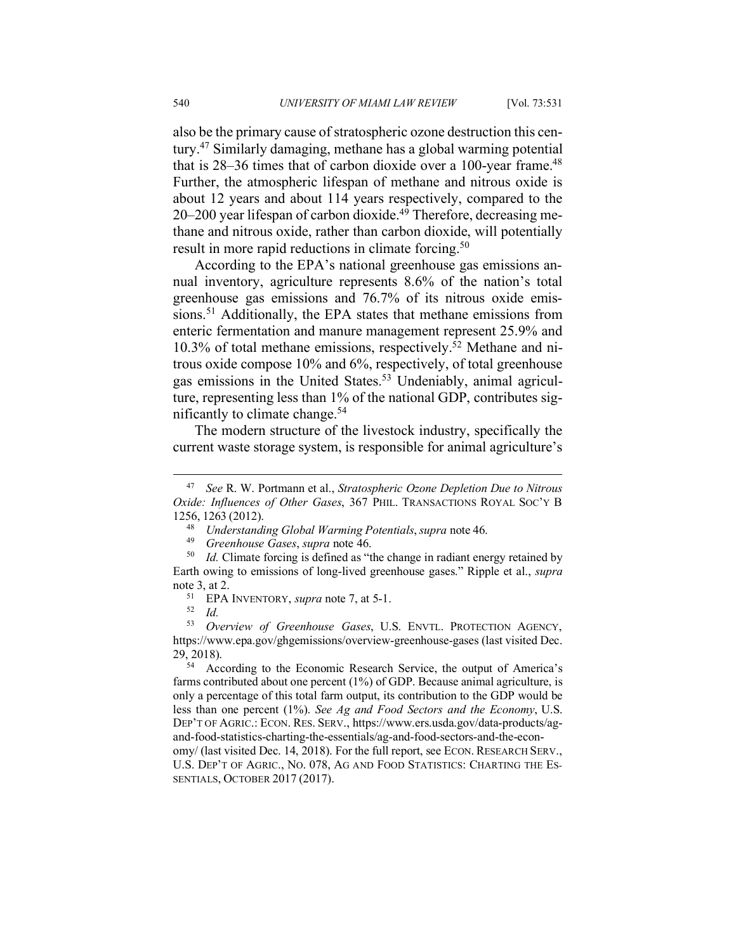also be the primary cause of stratospheric ozone destruction this century.47 Similarly damaging, methane has a global warming potential that is  $28-36$  times that of carbon dioxide over a 100-year frame.<sup>48</sup> Further, the atmospheric lifespan of methane and nitrous oxide is about 12 years and about 114 years respectively, compared to the 20–200 year lifespan of carbon dioxide.<sup>49</sup> Therefore, decreasing methane and nitrous oxide, rather than carbon dioxide, will potentially result in more rapid reductions in climate forcing.<sup>50</sup>

According to the EPA's national greenhouse gas emissions annual inventory, agriculture represents 8.6% of the nation's total greenhouse gas emissions and 76.7% of its nitrous oxide emissions.<sup>51</sup> Additionally, the EPA states that methane emissions from enteric fermentation and manure management represent 25.9% and 10.3% of total methane emissions, respectively. <sup>52</sup> Methane and nitrous oxide compose 10% and 6%, respectively, of total greenhouse gas emissions in the United States. <sup>53</sup> Undeniably, animal agriculture, representing less than 1% of the national GDP, contributes significantly to climate change. 54

The modern structure of the livestock industry, specifically the current waste storage system, is responsible for animal agriculture's

According to the Economic Research Service, the output of America's farms contributed about one percent (1%) of GDP. Because animal agriculture, is only a percentage of this total farm output, its contribution to the GDP would be less than one percent (1%). *See Ag and Food Sectors and the Economy*, U.S. DEP'T OF AGRIC.: ECON. RES. SERV., https://www.ers.usda.gov/data-products/agand-food-statistics-charting-the-essentials/ag-and-food-sectors-and-the-econ-

omy/ (last visited Dec. 14, 2018). For the full report, see ECON. RESEARCH SERV., U.S. DEP'T OF AGRIC., NO. 078, AG AND FOOD STATISTICS: CHARTING THE ES-SENTIALS, OCTOBER 2017 (2017).

 <sup>47</sup> *See* R. W. Portmann et al., *Stratospheric Ozone Depletion Due to Nitrous Oxide: Influences of Other Gases*, 367 PHIL. TRANSACTIONS ROYAL SOC'Y B 1256, 1263 (2012).

<sup>48</sup> *Understanding Global Warming Potentials*, *supra* note 46.

<sup>49</sup> *Greenhouse Gases*, *supra* note 46.

<sup>&</sup>lt;sup>50</sup> *Id.* Climate forcing is defined as "the change in radiant energy retained by Earth owing to emissions of long-lived greenhouse gases." Ripple et al., *supra* note 3, at 2.

<sup>51</sup> EPA INVENTORY, *supra* note 7, at 5-1. 52 *Id.*

<sup>53</sup> *Overview of Greenhouse Gases*, U.S. ENVTL. PROTECTION AGENCY, https://www.epa.gov/ghgemissions/overview-greenhouse-gases (last visited Dec.  $29, 2018$ ).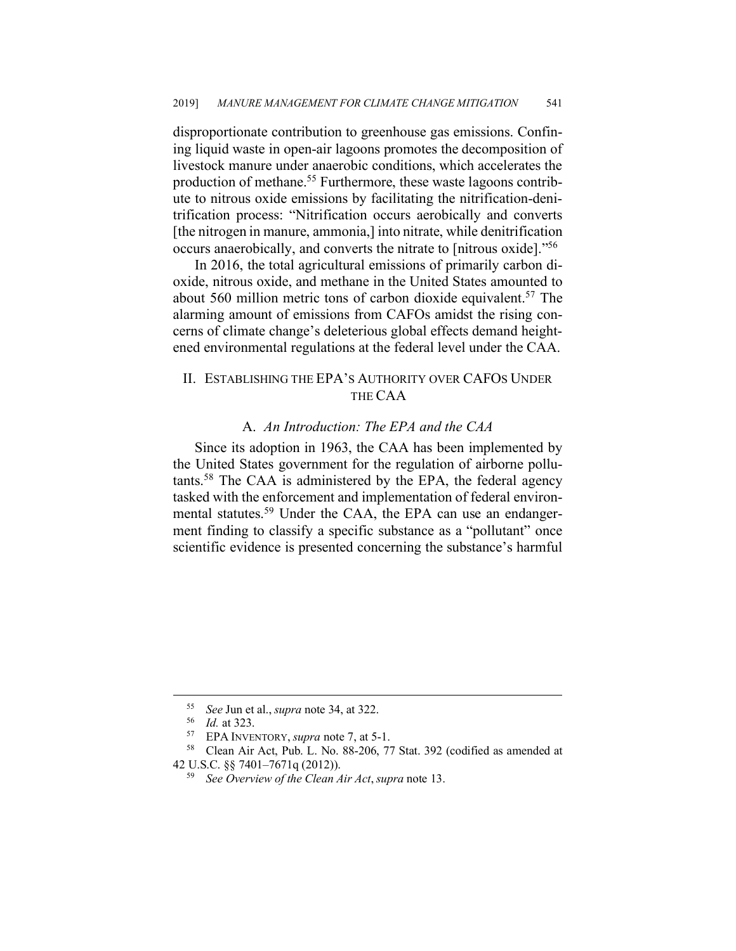disproportionate contribution to greenhouse gas emissions. Confining liquid waste in open-air lagoons promotes the decomposition of livestock manure under anaerobic conditions, which accelerates the production of methane.55 Furthermore, these waste lagoons contribute to nitrous oxide emissions by facilitating the nitrification-denitrification process: "Nitrification occurs aerobically and converts [the nitrogen in manure, ammonia,] into nitrate, while denitrification occurs anaerobically, and converts the nitrate to [nitrous oxide]."56

In 2016, the total agricultural emissions of primarily carbon dioxide, nitrous oxide, and methane in the United States amounted to about 560 million metric tons of carbon dioxide equivalent.<sup>57</sup> The alarming amount of emissions from CAFOs amidst the rising concerns of climate change's deleterious global effects demand heightened environmental regulations at the federal level under the CAA.

## II. ESTABLISHING THE EPA'S AUTHORITY OVER CAFOS UNDER THE CAA

#### A. *An Introduction: The EPA and the CAA*

Since its adoption in 1963, the CAA has been implemented by the United States government for the regulation of airborne pollutants.58 The CAA is administered by the EPA, the federal agency tasked with the enforcement and implementation of federal environmental statutes.<sup>59</sup> Under the CAA, the EPA can use an endangerment finding to classify a specific substance as a "pollutant" once scientific evidence is presented concerning the substance's harmful

<sup>55</sup> *See* Jun et al., *supra* note 34, at 322. 56 *Id.* at 323.

<sup>57</sup> EPA INVENTORY, *supra* note 7, at 5-1.

<sup>58</sup> Clean Air Act, Pub. L. No. 88-206, 77 Stat. 392 (codified as amended at 42 U.S.C. §§ 7401–7671q (2012)).

<sup>59</sup> *See Overview of the Clean Air Act*, *supra* note 13.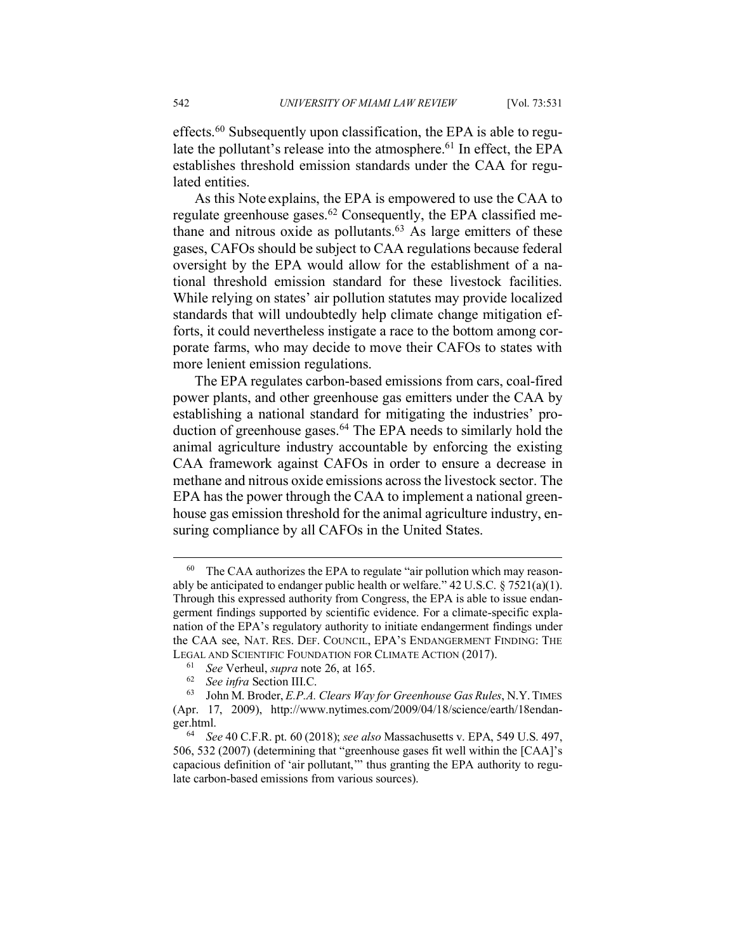As this Note explains, the EPA is empowered to use the CAA to regulate greenhouse gases.<sup>62</sup> Consequently, the EPA classified methane and nitrous oxide as pollutants. <sup>63</sup> As large emitters of these gases, CAFOs should be subject to CAA regulations because federal oversight by the EPA would allow for the establishment of a national threshold emission standard for these livestock facilities. While relying on states' air pollution statutes may provide localized standards that will undoubtedly help climate change mitigation efforts, it could nevertheless instigate a race to the bottom among corporate farms, who may decide to move their CAFOs to states with more lenient emission regulations.

The EPA regulates carbon-based emissions from cars, coal-fired power plants, and other greenhouse gas emitters under the CAA by establishing a national standard for mitigating the industries' production of greenhouse gases.<sup>64</sup> The EPA needs to similarly hold the animal agriculture industry accountable by enforcing the existing CAA framework against CAFOs in order to ensure a decrease in methane and nitrous oxide emissions across the livestock sector. The EPA has the power through the CAA to implement a national greenhouse gas emission threshold for the animal agriculture industry, ensuring compliance by all CAFOs in the United States.

lated entities.

<sup>&</sup>lt;sup>60</sup> The CAA authorizes the EPA to regulate "air pollution which may reasonably be anticipated to endanger public health or welfare."  $42 \text{ U.S.C.} \$   $7521(a)(1)$ . Through this expressed authority from Congress, the EPA is able to issue endangerment findings supported by scientific evidence. For a climate-specific explanation of the EPA's regulatory authority to initiate endangerment findings under the CAA see, NAT. RES. DEF. COUNCIL, EPA'S ENDANGERMENT FINDING: THE LEGAL AND SCIENTIFIC FOUNDATION FOR CLIMATE ACTION (2017).

<sup>61</sup> *See* Verheul, *supra* note 26, at 165.

<sup>62</sup> *See infra* Section III.C.

<sup>63</sup> John M. Broder, *E.P.A. Clears Way for Greenhouse Gas Rules*, N.Y. TIMES (Apr. 17, 2009), http://www.nytimes.com/2009/04/18/science/earth/18endanger.html. 64 *See* 40 C.F.R. pt. 60 (2018); *see also* Massachusetts v. EPA, 549 U.S. 497,

<sup>506, 532 (2007) (</sup>determining that "greenhouse gases fit well within the [CAA]'s capacious definition of 'air pollutant,'" thus granting the EPA authority to regulate carbon-based emissions from various sources).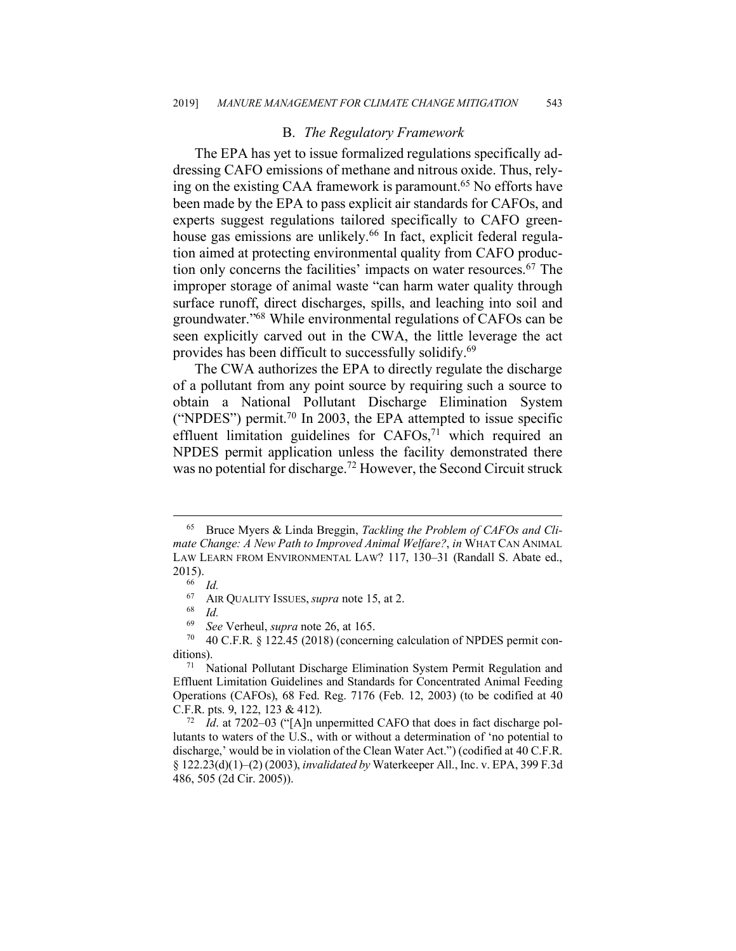#### B. *The Regulatory Framework*

The EPA has yet to issue formalized regulations specifically addressing CAFO emissions of methane and nitrous oxide. Thus, relying on the existing CAA framework is paramount.<sup>65</sup> No efforts have been made by the EPA to pass explicit air standards for CAFOs, and experts suggest regulations tailored specifically to CAFO greenhouse gas emissions are unlikely.<sup>66</sup> In fact, explicit federal regulation aimed at protecting environmental quality from CAFO production only concerns the facilities' impacts on water resources.<sup>67</sup> The improper storage of animal waste "can harm water quality through surface runoff, direct discharges, spills, and leaching into soil and groundwater."68 While environmental regulations of CAFOs can be seen explicitly carved out in the CWA, the little leverage the act provides has been difficult to successfully solidify.69

The CWA authorizes the EPA to directly regulate the discharge of a pollutant from any point source by requiring such a source to obtain a National Pollutant Discharge Elimination System ("NPDES") permit.<sup>70</sup> In 2003, the EPA attempted to issue specific effluent limitation guidelines for CAFOs,<sup>71</sup> which required an NPDES permit application unless the facility demonstrated there was no potential for discharge.<sup>72</sup> However, the Second Circuit struck

 <sup>65</sup> Bruce Myers & Linda Breggin, *Tackling the Problem of CAFOs and Climate Change: A New Path to Improved Animal Welfare?*, *in* WHAT CAN ANIMAL LAW LEARN FROM ENVIRONMENTAL LAW? 117, 130–31 (Randall S. Abate ed.,  $2015$ ).

 $\frac{66}{67}$  *Id.* 

 $^{67}$  AIR QUALITY ISSUES, *supra* note 15, at 2.

 $\frac{68}{69}$  *Id.* 

<sup>69</sup> *See* Verheul, *supra* note 26, at 165.

 $70$  40 C.F.R. § 122.45 (2018) (concerning calculation of NPDES permit conditions). 71 National Pollutant Discharge Elimination System Permit Regulation and

Effluent Limitation Guidelines and Standards for Concentrated Animal Feeding Operations (CAFOs), 68 Fed. Reg. 7176 (Feb. 12, 2003) (to be codified at 40 C.F.R. pts. 9, 122, 123 & 412).

<sup>72</sup> *Id*. at 7202–03 ("[A]n unpermitted CAFO that does in fact discharge pollutants to waters of the U.S., with or without a determination of 'no potential to discharge,' would be in violation of the Clean Water Act.") (codified at 40 C.F.R. § 122.23(d)(1)–(2) (2003), *invalidated by* Waterkeeper All., Inc. v. EPA, 399 F.3d 486, 505 (2d Cir. 2005)).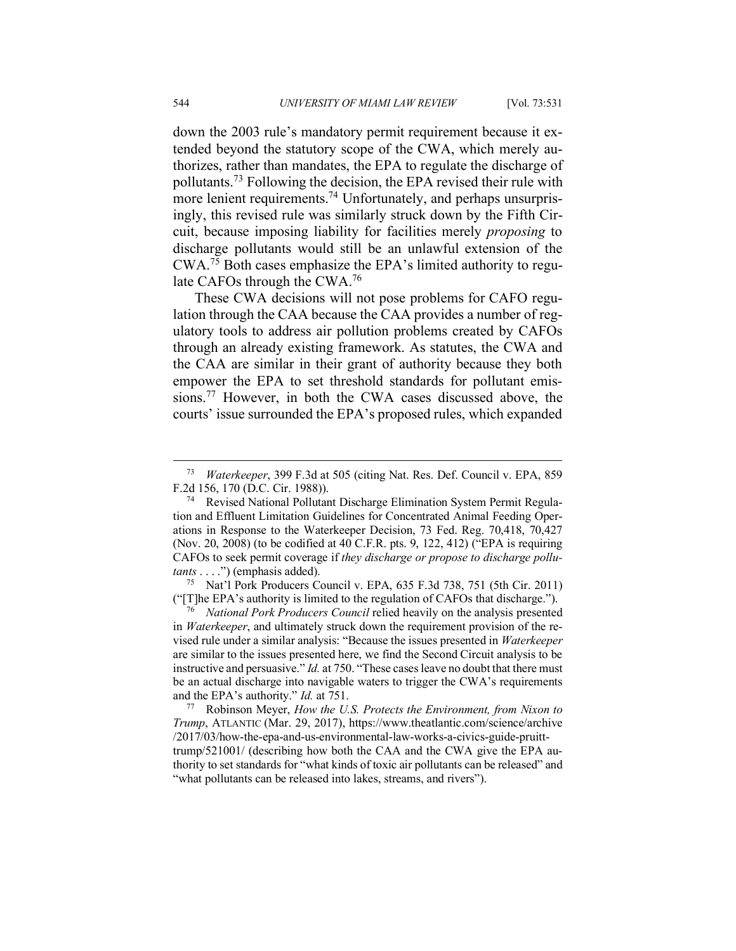down the 2003 rule's mandatory permit requirement because it extended beyond the statutory scope of the CWA, which merely authorizes, rather than mandates, the EPA to regulate the discharge of pollutants.73 Following the decision, the EPA revised their rule with more lenient requirements.<sup>74</sup> Unfortunately, and perhaps unsurprisingly, this revised rule was similarly struck down by the Fifth Circuit, because imposing liability for facilities merely *proposing* to discharge pollutants would still be an unlawful extension of the CWA. <sup>75</sup> Both cases emphasize the EPA's limited authority to regulate CAFOs through the CWA. 76

These CWA decisions will not pose problems for CAFO regulation through the CAA because the CAA provides a number of regulatory tools to address air pollution problems created by CAFOs through an already existing framework. As statutes, the CWA and the CAA are similar in their grant of authority because they both empower the EPA to set threshold standards for pollutant emissions.77 However, in both the CWA cases discussed above, the courts' issue surrounded the EPA's proposed rules, which expanded

<sup>75</sup> Nat'l Pork Producers Council v. EPA, 635 F.3d 738, 751 (5th Cir. 2011)

("[T]he EPA's authority is limited to the regulation of CAFOs that discharge."). 76 *National Pork Producers Council* relied heavily on the analysis presented in *Waterkeeper*, and ultimately struck down the requirement provision of the revised rule under a similar analysis: "Because the issues presented in *Waterkeeper* are similar to the issues presented here, we find the Second Circuit analysis to be instructive and persuasive." *Id.* at 750. "These cases leave no doubt that there must be an actual discharge into navigable waters to trigger the CWA's requirements and the EPA's authority." *Id.* at 751.

<sup>77</sup> Robinson Meyer, *How the U.S. Protects the Environment, from Nixon to Trump*, ATLANTIC (Mar. 29, 2017), https://www.theatlantic.com/science/archive /2017/03/how-the-epa-and-us-environmental-law-works-a-civics-guide-pruitttrump/521001/ (describing how both the CAA and the CWA give the EPA authority to set standards for "what kinds of toxic air pollutants can be released" and "what pollutants can be released into lakes, streams, and rivers").

 <sup>73</sup> *Waterkeeper*, 399 F.3d at 505 (citing Nat. Res. Def. Council v. EPA, 859 F.2d 156, 170 (D.C. Cir. 1988)).

Revised National Pollutant Discharge Elimination System Permit Regulation and Effluent Limitation Guidelines for Concentrated Animal Feeding Operations in Response to the Waterkeeper Decision, 73 Fed. Reg. 70,418, 70,427 (Nov. 20, 2008) (to be codified at 40 C.F.R. pts. 9, 122, 412) ("EPA is requiring CAFOs to seek permit coverage if *they discharge or propose to discharge pollutants* . . . .") (emphasis added).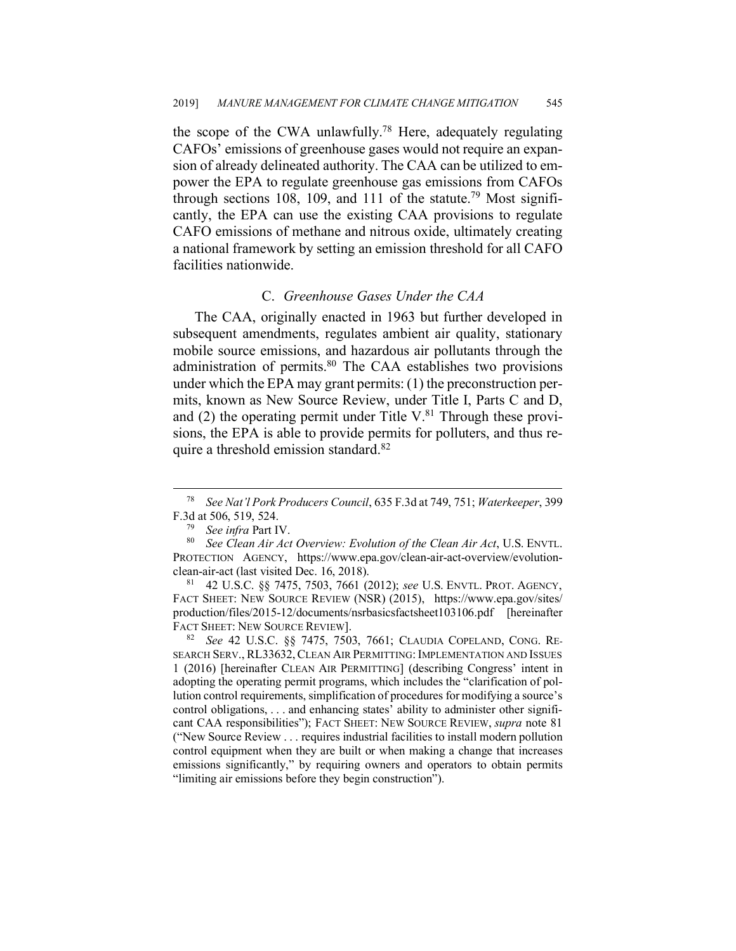the scope of the CWA unlawfully.<sup>78</sup> Here, adequately regulating CAFOs' emissions of greenhouse gases would not require an expansion of already delineated authority. The CAA can be utilized to empower the EPA to regulate greenhouse gas emissions from CAFOs through sections 108, 109, and 111 of the statute.<sup>79</sup> Most significantly, the EPA can use the existing CAA provisions to regulate CAFO emissions of methane and nitrous oxide, ultimately creating a national framework by setting an emission threshold for all CAFO facilities nationwide.

## C. *Greenhouse Gases Under the CAA*

The CAA, originally enacted in 1963 but further developed in subsequent amendments, regulates ambient air quality, stationary mobile source emissions, and hazardous air pollutants through the administration of permits.<sup>80</sup> The CAA establishes two provisions under which the EPA may grant permits: (1) the preconstruction permits, known as New Source Review, under Title I, Parts C and D, and (2) the operating permit under Title  $V^{\{8\}}$ . Through these provisions, the EPA is able to provide permits for polluters, and thus require a threshold emission standard.82

 <sup>78</sup> *See Nat'l Pork Producers Council*, 635 F.3d at 749, 751; *Waterkeeper*, 399 F.3d at 506, 519, 524.

<sup>79</sup> *See infra* Part IV.

<sup>80</sup> *See Clean Air Act Overview: Evolution of the Clean Air Act*, U.S. ENVTL. PROTECTION AGENCY, https://www.epa.gov/clean-air-act-overview/evolutionclean-air-act (last visited Dec. 16, 2018).

<sup>81</sup> 42 U.S.C. §§ 7475, 7503, 7661 (2012); *see* U.S. ENVTL. PROT. AGENCY, FACT SHEET: NEW SOURCE REVIEW (NSR) (2015), https://www.epa.gov/sites/ production/files/2015-12/documents/nsrbasicsfactsheet103106.pdf [hereinafter FACT SHEET: NEW SOURCE REVIEW].

<sup>82</sup> *See* 42 U.S.C. §§ 7475, 7503, 7661; CLAUDIA COPELAND, CONG. RE-SEARCH SERV., RL33632, CLEAN AIR PERMITTING: IMPLEMENTATION AND ISSUES 1 (2016) [hereinafter CLEAN AIR PERMITTING] (describing Congress' intent in adopting the operating permit programs, which includes the "clarification of pollution control requirements, simplification of procedures for modifying a source's control obligations, . . . and enhancing states' ability to administer other significant CAA responsibilities"); FACT SHEET: NEW SOURCE REVIEW, *supra* note 81 ("New Source Review . . . requires industrial facilities to install modern pollution control equipment when they are built or when making a change that increases emissions significantly," by requiring owners and operators to obtain permits "limiting air emissions before they begin construction").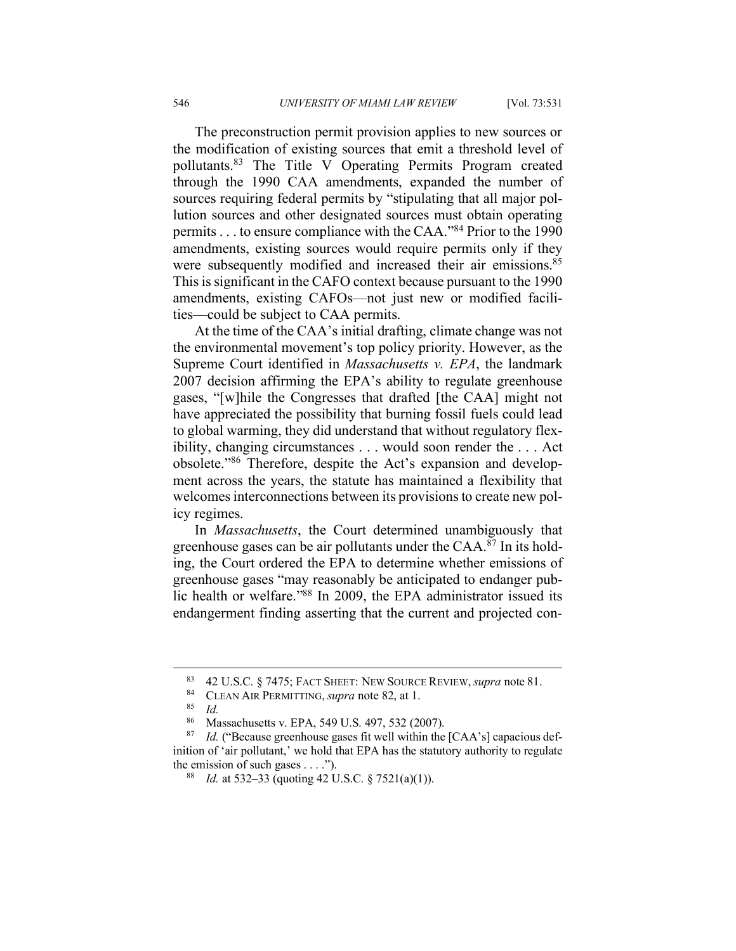The preconstruction permit provision applies to new sources or the modification of existing sources that emit a threshold level of pollutants.83 The Title V Operating Permits Program created through the 1990 CAA amendments, expanded the number of sources requiring federal permits by "stipulating that all major pollution sources and other designated sources must obtain operating permits . . . to ensure compliance with the CAA."84 Prior to the 1990 amendments, existing sources would require permits only if they were subsequently modified and increased their air emissions.<sup>85</sup> This is significant in the CAFO context because pursuant to the 1990 amendments, existing CAFOs—not just new or modified facilities—could be subject to CAA permits.

At the time of the CAA's initial drafting, climate change was not the environmental movement's top policy priority. However, as the Supreme Court identified in *Massachusetts v. EPA*, the landmark 2007 decision affirming the EPA's ability to regulate greenhouse gases, "[w]hile the Congresses that drafted [the CAA] might not have appreciated the possibility that burning fossil fuels could lead to global warming, they did understand that without regulatory flexibility, changing circumstances . . . would soon render the . . . Act obsolete."86 Therefore, despite the Act's expansion and development across the years, the statute has maintained a flexibility that welcomes interconnections between its provisions to create new policy regimes.

In *Massachusetts*, the Court determined unambiguously that greenhouse gases can be air pollutants under the CAA.<sup>87</sup> In its holding, the Court ordered the EPA to determine whether emissions of greenhouse gases "may reasonably be anticipated to endanger public health or welfare."88 In 2009, the EPA administrator issued its endangerment finding asserting that the current and projected con-

 <sup>83</sup> 42 U.S.C. § 7475; FACT SHEET: NEW SOURCE REVIEW, *supra* note 81.

<sup>&</sup>lt;sup>84</sup> CLEAN AIR PERMITTING, *supra* note 82, at 1.

<sup>85</sup> *Id.*

<sup>86</sup> Massachusetts v. EPA, 549 U.S. 497, 532 (2007).

<sup>&</sup>lt;sup>87</sup> *Id.* ("Because greenhouse gases fit well within the [CAA's] capacious definition of 'air pollutant,' we hold that EPA has the statutory authority to regulate the emission of such gases . . . .").<br><sup>88</sup> *Id.* at 532–33 (quoting 42 U.S.C. § 7521(a)(1)).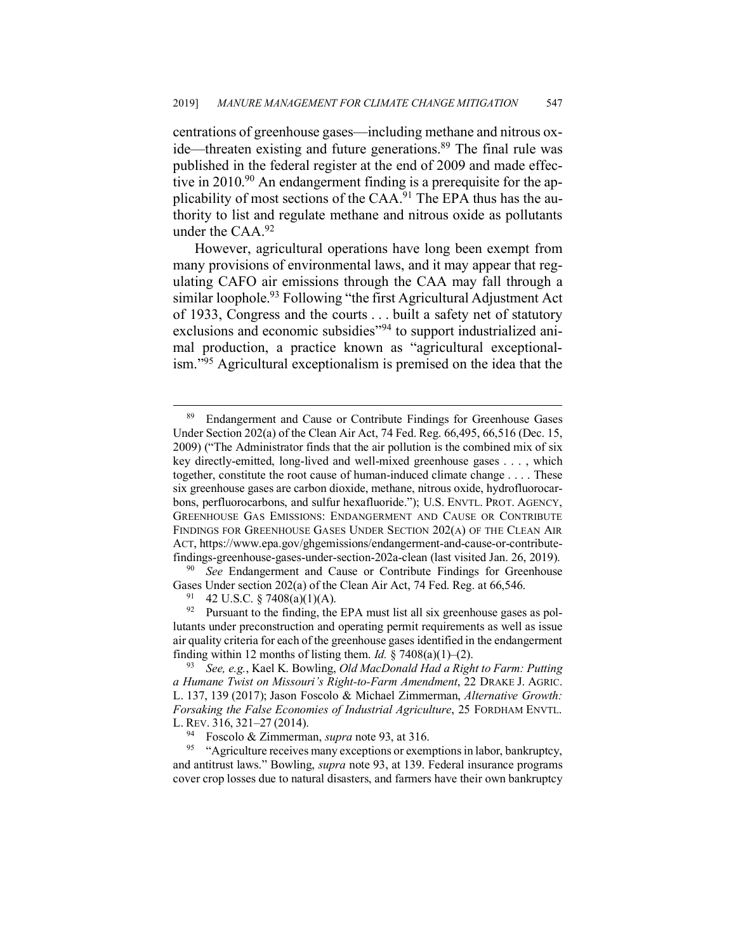centrations of greenhouse gases—including methane and nitrous oxide—threaten existing and future generations.<sup>89</sup> The final rule was published in the federal register at the end of 2009 and made effective in  $2010^{90}$  An endangerment finding is a prerequisite for the applicability of most sections of the CAA.<sup>91</sup> The EPA thus has the authority to list and regulate methane and nitrous oxide as pollutants under the CAA.<sup>92</sup>

However, agricultural operations have long been exempt from many provisions of environmental laws, and it may appear that regulating CAFO air emissions through the CAA may fall through a similar loophole.<sup>93</sup> Following "the first Agricultural Adjustment Act of 1933, Congress and the courts . . . built a safety net of statutory exclusions and economic subsidies"<sup>94</sup> to support industrialized animal production, a practice known as "agricultural exceptionalism."95 Agricultural exceptionalism is premised on the idea that the

<sup>90</sup> *See* Endangerment and Cause or Contribute Findings for Greenhouse Gases Under section 202(a) of the Clean Air Act, 74 Fed. Reg. at 66,546.

<sup>91</sup> 42 U.S.C. § 7408(a)(1)(A).<br><sup>92</sup> Pursuant to the finding, the EPA must list all six greenhouse gases as pollutants under preconstruction and operating permit requirements as well as issue air quality criteria for each of the greenhouse gases identified in the endangerment finding within 12 months of listing them. *Id.* § 7408(a)(1)–(2). 93 *See, e.g.*, Kael K. Bowling, *Old MacDonald Had a Right to Farm: Putting*

*a Humane Twist on Missouri's Right-to-Farm Amendment*, 22 DRAKE J. AGRIC. L. 137, 139 (2017); Jason Foscolo & Michael Zimmerman, *Alternative Growth: Forsaking the False Economies of Industrial Agriculture*, 25 FORDHAM ENVTL. L. REV. 316, 321–27 (2014).

<sup>95</sup> "Agriculture receives many exceptions or exemptions in labor, bankruptcy, and antitrust laws." Bowling, *supra* note 93, at 139. Federal insurance programs cover crop losses due to natural disasters, and farmers have their own bankruptcy

<sup>89</sup> Endangerment and Cause or Contribute Findings for Greenhouse Gases Under Section 202(a) of the Clean Air Act, 74 Fed. Reg. 66,495, 66,516 (Dec. 15, 2009) ("The Administrator finds that the air pollution is the combined mix of six key directly-emitted, long-lived and well-mixed greenhouse gases . . . , which together, constitute the root cause of human-induced climate change . . . . These six greenhouse gases are carbon dioxide, methane, nitrous oxide, hydrofluorocarbons, perfluorocarbons, and sulfur hexafluoride."); U.S. ENVTL. PROT. AGENCY, GREENHOUSE GAS EMISSIONS: ENDANGERMENT AND CAUSE OR CONTRIBUTE FINDINGS FOR GREENHOUSE GASES UNDER SECTION 202(A) OF THE CLEAN AIR ACT, https://www.epa.gov/ghgemissions/endangerment-and-cause-or-contributefindings-greenhouse-gases-under-section-202a-clean (last visited Jan. 26, 2019).

<sup>94</sup> Foscolo & Zimmerman, *supra* note 93, at 316.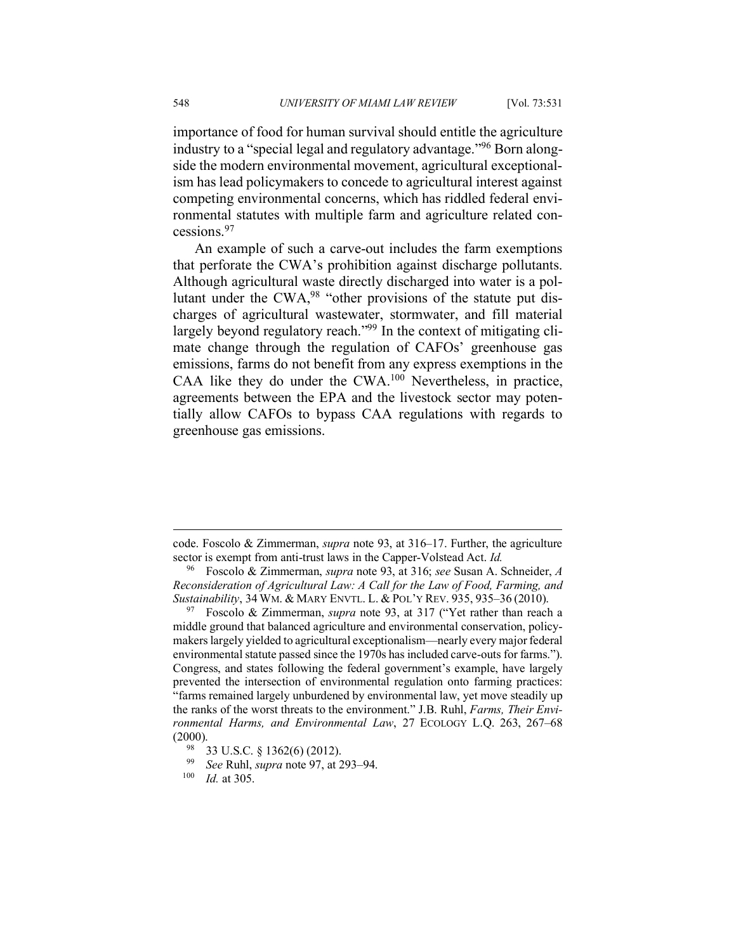importance of food for human survival should entitle the agriculture industry to a "special legal and regulatory advantage."96 Born alongside the modern environmental movement, agricultural exceptionalism has lead policymakers to concede to agricultural interest against competing environmental concerns, which has riddled federal environmental statutes with multiple farm and agriculture related concessions.97

An example of such a carve-out includes the farm exemptions that perforate the CWA's prohibition against discharge pollutants. Although agricultural waste directly discharged into water is a pollutant under the CWA,98 "other provisions of the statute put discharges of agricultural wastewater, stormwater, and fill material largely beyond regulatory reach."<sup>99</sup> In the context of mitigating climate change through the regulation of CAFOs' greenhouse gas emissions, farms do not benefit from any express exemptions in the CAA like they do under the CWA.100 Nevertheless, in practice, agreements between the EPA and the livestock sector may potentially allow CAFOs to bypass CAA regulations with regards to greenhouse gas emissions.

 $\overline{a}$ 

code. Foscolo & Zimmerman, *supra* note 93, at 316–17. Further, the agriculture sector is exempt from anti-trust laws in the Capper-Volstead Act. *Id.*

<sup>96</sup> Foscolo & Zimmerman, *supra* note 93, at 316; *see* Susan A. Schneider, *A Reconsideration of Agricultural Law: A Call for the Law of Food, Farming, and Sustainability*, 34 WM. & MARY ENVTL. L. & POL'Y REV. 935, 935–36 (2010).

<sup>97</sup> Foscolo & Zimmerman, *supra* note 93, at 317 ("Yet rather than reach a middle ground that balanced agriculture and environmental conservation, policymakers largely yielded to agricultural exceptionalism—nearly every major federal environmental statute passed since the 1970s has included carve-outs for farms."). Congress, and states following the federal government's example, have largely prevented the intersection of environmental regulation onto farming practices: "farms remained largely unburdened by environmental law, yet move steadily up the ranks of the worst threats to the environment." J.B. Ruhl, *Farms, Their Environmental Harms, and Environmental Law*, 27 ECOLOGY L.Q. 263, 267–68 (2000).

<sup>98</sup> 33 U.S.C. § 1362(6) (2012). 99 *See* Ruhl, *supra* note 97, at 293–94. 100 *Id.* at 305.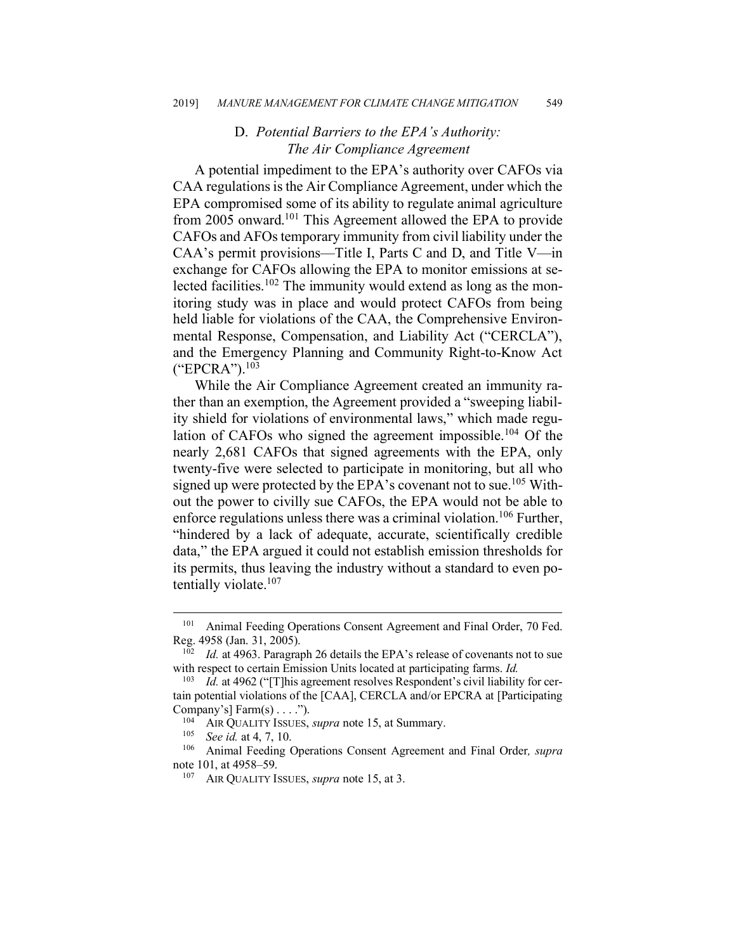## D. *Potential Barriers to the EPA's Authority: The Air Compliance Agreement*

A potential impediment to the EPA's authority over CAFOs via CAA regulations is the Air Compliance Agreement, under which the EPA compromised some of its ability to regulate animal agriculture from 2005 onward.<sup>101</sup> This Agreement allowed the EPA to provide CAFOs and AFOs temporary immunity from civil liability under the CAA's permit provisions—Title I, Parts C and D, and Title V—in exchange for CAFOs allowing the EPA to monitor emissions at selected facilities.<sup>102</sup> The immunity would extend as long as the monitoring study was in place and would protect CAFOs from being held liable for violations of the CAA, the Comprehensive Environmental Response, Compensation, and Liability Act ("CERCLA"), and the Emergency Planning and Community Right-to-Know Act  $("EPCRA")$ <sup>103</sup>

While the Air Compliance Agreement created an immunity rather than an exemption, the Agreement provided a "sweeping liability shield for violations of environmental laws," which made regulation of CAFOs who signed the agreement impossible.<sup>104</sup> Of the nearly 2,681 CAFOs that signed agreements with the EPA, only twenty-five were selected to participate in monitoring, but all who signed up were protected by the EPA's covenant not to sue.<sup>105</sup> Without the power to civilly sue CAFOs, the EPA would not be able to enforce regulations unless there was a criminal violation.<sup>106</sup> Further, "hindered by a lack of adequate, accurate, scientifically credible data," the EPA argued it could not establish emission thresholds for its permits, thus leaving the industry without a standard to even potentially violate.<sup>107</sup>

 <sup>101</sup> Animal Feeding Operations Consent Agreement and Final Order, 70 Fed. Reg. 4958 (Jan. 31, 2005).

Id. at 4963. Paragraph 26 details the EPA's release of covenants not to sue with respect to certain Emission Units located at participating farms. *Id.*

<sup>&</sup>lt;sup>103</sup> *Id.* at 4962 ("[T] his agreement resolves Respondent's civil liability for certain potential violations of the [CAA], CERCLA and/or EPCRA at [Participating Company's]  $Farm(s) \ldots$ ").

<sup>104</sup> AIR QUALITY ISSUES, *supra* note 15, at Summary.

<sup>105</sup> *See id.* at 4, 7, 10.

<sup>106</sup> Animal Feeding Operations Consent Agreement and Final Order*, supra* note 101, at 4958–59. 107 AIR QUALITY ISSUES, *supra* note 15, at 3.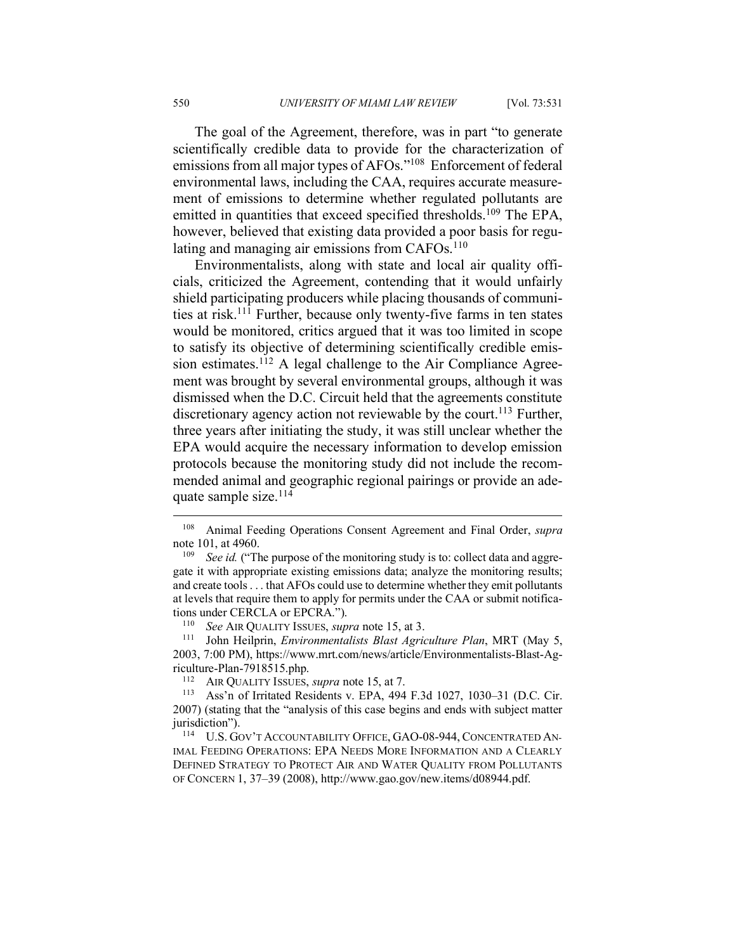The goal of the Agreement, therefore, was in part "to generate scientifically credible data to provide for the characterization of emissions from all major types of AFOs."108 Enforcement of federal environmental laws, including the CAA, requires accurate measurement of emissions to determine whether regulated pollutants are emitted in quantities that exceed specified thresholds.<sup>109</sup> The EPA, however, believed that existing data provided a poor basis for regulating and managing air emissions from  $CAFOs.$ <sup>110</sup>

Environmentalists, along with state and local air quality officials, criticized the Agreement, contending that it would unfairly shield participating producers while placing thousands of communities at risk. <sup>111</sup> Further, because only twenty-five farms in ten states would be monitored, critics argued that it was too limited in scope to satisfy its objective of determining scientifically credible emission estimates.<sup>112</sup> A legal challenge to the Air Compliance Agreement was brought by several environmental groups, although it was dismissed when the D.C. Circuit held that the agreements constitute discretionary agency action not reviewable by the court.<sup>113</sup> Further, three years after initiating the study, it was still unclear whether the EPA would acquire the necessary information to develop emission protocols because the monitoring study did not include the recommended animal and geographic regional pairings or provide an adequate sample size.<sup>114</sup>

<sup>111</sup> John Heilprin, *Environmentalists Blast Agriculture Plan*, MRT (May 5, 2003, 7:00 PM), https://www.mrt.com/news/article/Environmentalists-Blast-Agriculture-Plan-7918515.php.

<sup>112</sup> AIR QUALITY ISSUES, *supra* note 15, at 7.<br><sup>113</sup> Ass'n of Irritated Residents v FPA 494

Ass'n of Irritated Residents v. EPA, 494 F.3d 1027, 1030–31 (D.C. Cir. 2007) (stating that the "analysis of this case begins and ends with subject matter iurisdiction").

<sup>114</sup> U.S. GOV'T ACCOUNTABILITY OFFICE, GAO-08-944, CONCENTRATED AN-IMAL FEEDING OPERATIONS: EPA NEEDS MORE INFORMATION AND A CLEARLY DEFINED STRATEGY TO PROTECT AIR AND WATER QUALITY FROM POLLUTANTS OF CONCERN 1, 37–39 (2008), http://www.gao.gov/new.items/d08944.pdf.

 <sup>108</sup> Animal Feeding Operations Consent Agreement and Final Order, *supra*  note 101, at 4960.<br><sup>109</sup> *See id.* ("The purpose of the monitoring study is to: collect data and aggre-

gate it with appropriate existing emissions data; analyze the monitoring results; and create tools . . . that AFOs could use to determine whether they emit pollutants at levels that require them to apply for permits under the CAA or submit notifications under CERCLA or EPCRA."). 110 *See* AIR QUALITY ISSUES, *supra* note 15, at 3.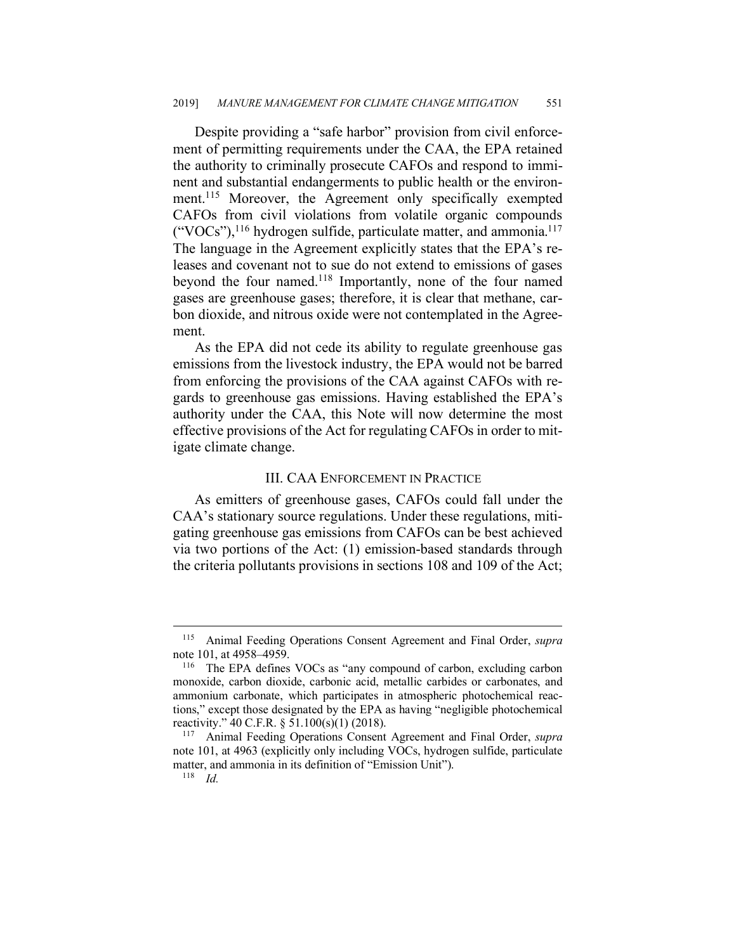Despite providing a "safe harbor" provision from civil enforcement of permitting requirements under the CAA, the EPA retained the authority to criminally prosecute CAFOs and respond to imminent and substantial endangerments to public health or the environment.<sup>115</sup> Moreover, the Agreement only specifically exempted CAFOs from civil violations from volatile organic compounds  $("VOCs"),<sup>116</sup> hydrogen sulfide, particulate matter, and ammonia.<sup>117</sup>$ The language in the Agreement explicitly states that the EPA's releases and covenant not to sue do not extend to emissions of gases beyond the four named.<sup>118</sup> Importantly, none of the four named gases are greenhouse gases; therefore, it is clear that methane, carbon dioxide, and nitrous oxide were not contemplated in the Agreement.

As the EPA did not cede its ability to regulate greenhouse gas emissions from the livestock industry, the EPA would not be barred from enforcing the provisions of the CAA against CAFOs with regards to greenhouse gas emissions. Having established the EPA's authority under the CAA, this Note will now determine the most effective provisions of the Act for regulating CAFOs in order to mitigate climate change.

#### III. CAA ENFORCEMENT IN PRACTICE

As emitters of greenhouse gases, CAFOs could fall under the CAA's stationary source regulations. Under these regulations, mitigating greenhouse gas emissions from CAFOs can be best achieved via two portions of the Act: (1) emission-based standards through the criteria pollutants provisions in sections 108 and 109 of the Act;

 <sup>115</sup> Animal Feeding Operations Consent Agreement and Final Order, *supra*  note 101, at 4958–4959.<br><sup>116</sup> The EPA defines

The EPA defines VOCs as "any compound of carbon, excluding carbon monoxide, carbon dioxide, carbonic acid, metallic carbides or carbonates, and ammonium carbonate, which participates in atmospheric photochemical reactions," except those designated by the EPA as having "negligible photochemical reactivity." 40 C.F.R. § 51.100(s)(1) (2018).

<sup>117</sup> Animal Feeding Operations Consent Agreement and Final Order, *supra*  note 101, at 4963 (explicitly only including VOCs, hydrogen sulfide, particulate matter, and ammonia in its definition of "Emission Unit").

 $118$  *Id.*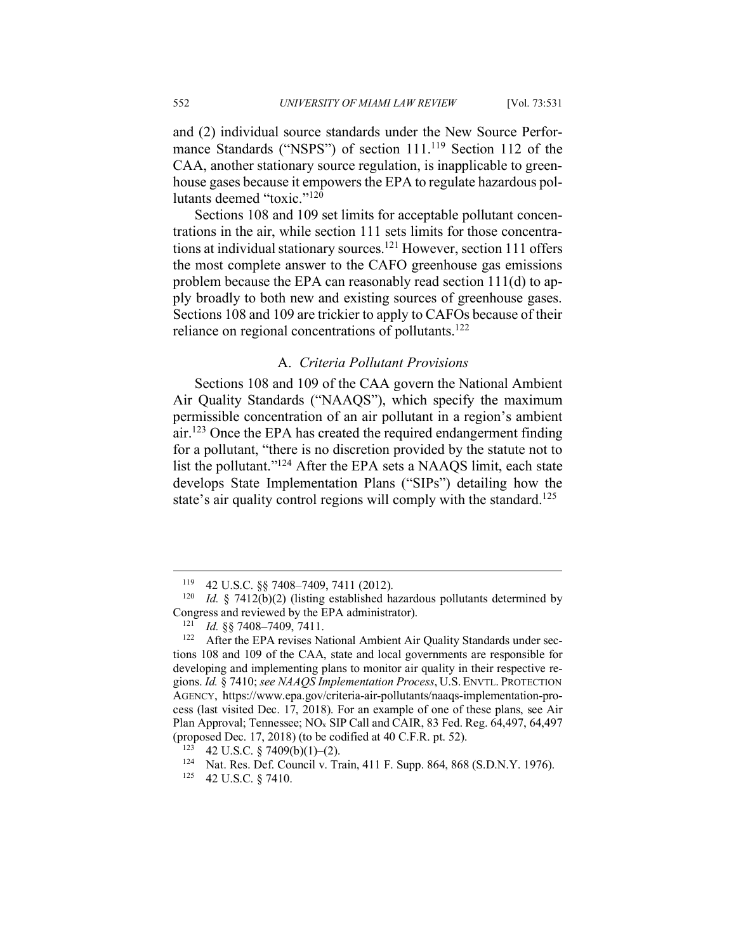and (2) individual source standards under the New Source Performance Standards ("NSPS") of section 111.<sup>119</sup> Section 112 of the CAA, another stationary source regulation, is inapplicable to greenhouse gases because it empowers the EPA to regulate hazardous pollutants deemed "toxic."120

Sections 108 and 109 set limits for acceptable pollutant concentrations in the air, while section 111 sets limits for those concentrations at individual stationary sources.<sup>121</sup> However, section 111 offers the most complete answer to the CAFO greenhouse gas emissions problem because the EPA can reasonably read section 111(d) to apply broadly to both new and existing sources of greenhouse gases. Sections 108 and 109 are trickier to apply to CAFOs because of their reliance on regional concentrations of pollutants.<sup>122</sup>

## A. *Criteria Pollutant Provisions*

Sections 108 and 109 of the CAA govern the National Ambient Air Quality Standards ("NAAQS"), which specify the maximum permissible concentration of an air pollutant in a region's ambient air.123 Once the EPA has created the required endangerment finding for a pollutant, "there is no discretion provided by the statute not to list the pollutant."124 After the EPA sets a NAAQS limit, each state develops State Implementation Plans ("SIPs") detailing how the state's air quality control regions will comply with the standard.<sup>125</sup>

 <sup>119</sup> 42 U.S.C. §§ 7408–7409, 7411 (2012).

<sup>&</sup>lt;sup>120</sup> *Id.* § 7412(b)(2) (listing established hazardous pollutants determined by Congress and reviewed by the EPA administrator).

<sup>121</sup> *Id.* §§ 7408–7409, 7411.

<sup>&</sup>lt;sup>122</sup> After the EPA revises National Ambient Air Quality Standards under sections 108 and 109 of the CAA, state and local governments are responsible for developing and implementing plans to monitor air quality in their respective regions. *Id.* § 7410; *see NAAQS Implementation Process*, U.S. ENVTL. PROTECTION AGENCY, https://www.epa.gov/criteria-air-pollutants/naaqs-implementation-process (last visited Dec. 17, 2018). For an example of one of these plans, see Air Plan Approval; Tennessee; NOx SIP Call and CAIR, 83 Fed. Reg. 64,497, 64,497 (proposed Dec. 17, 2018) (to be codified at 40 C.F.R. pt. 52).

<sup>42</sup> U.S.C. § 7409(b)(1)–(2).

<sup>124</sup> Nat. Res. Def. Council v. Train, 411 F. Supp. 864, 868 (S.D.N.Y. 1976).

<sup>125</sup> 42 U.S.C. § 7410.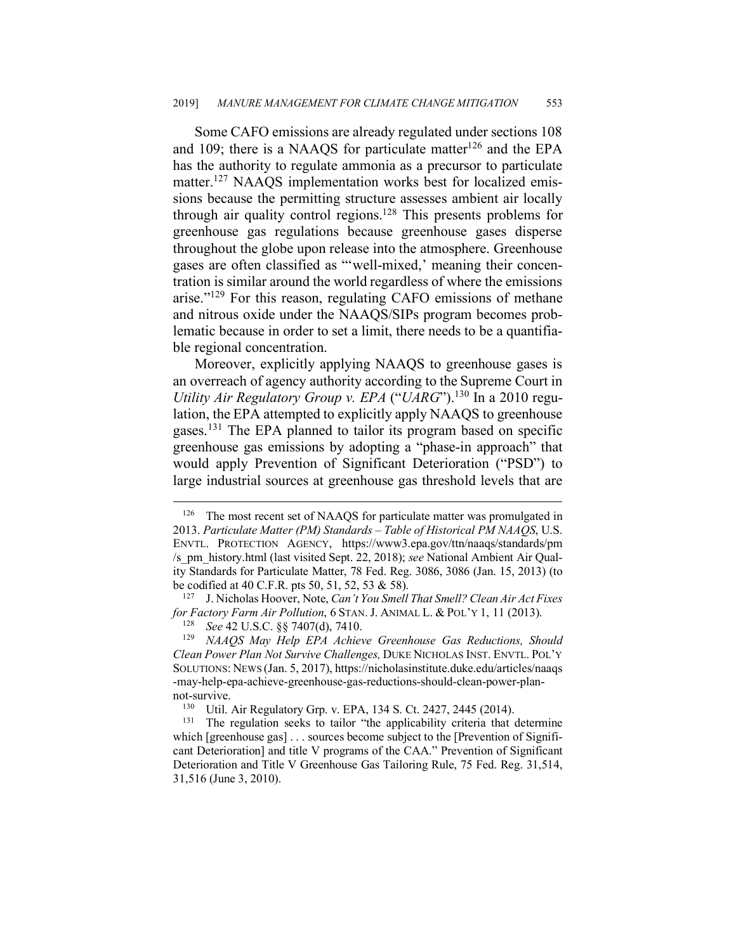Some CAFO emissions are already regulated under sections 108 and 109; there is a NAAQS for particulate matter<sup>126</sup> and the EPA has the authority to regulate ammonia as a precursor to particulate matter.<sup>127</sup> NAAQS implementation works best for localized emissions because the permitting structure assesses ambient air locally through air quality control regions. <sup>128</sup> This presents problems for greenhouse gas regulations because greenhouse gases disperse throughout the globe upon release into the atmosphere. Greenhouse gases are often classified as "'well-mixed,' meaning their concentration is similar around the world regardless of where the emissions arise."129 For this reason, regulating CAFO emissions of methane and nitrous oxide under the NAAQS/SIPs program becomes problematic because in order to set a limit, there needs to be a quantifiable regional concentration.

Moreover, explicitly applying NAAQS to greenhouse gases is an overreach of agency authority according to the Supreme Court in *Utility Air Regulatory Group v. EPA* ("*UARG*"). <sup>130</sup> In a 2010 regulation, the EPA attempted to explicitly apply NAAQS to greenhouse gases.<sup>131</sup> The EPA planned to tailor its program based on specific greenhouse gas emissions by adopting a "phase-in approach" that would apply Prevention of Significant Deterioration ("PSD") to large industrial sources at greenhouse gas threshold levels that are

<sup>&</sup>lt;sup>126</sup> The most recent set of NAAQS for particulate matter was promulgated in 2013. *Particulate Matter (PM) Standards – Table of Historical PM NAAQS*, U.S. ENVTL. PROTECTION AGENCY, https://www3.epa.gov/ttn/naaqs/standards/pm /s\_pm\_history.html (last visited Sept. 22, 2018); *see* National Ambient Air Quality Standards for Particulate Matter, 78 Fed. Reg. 3086, 3086 (Jan. 15, 2013) (to be codified at 40 C.F.R. pts 50, 51, 52, 53 & 58).

<sup>127</sup> J. Nicholas Hoover, Note, *Can't You Smell That Smell? Clean Air Act Fixes for Factory Farm Air Pollution*, 6 STAN. J. ANIMAL L. & POL'Y 1, 11 (2013).

<sup>128</sup> *See* 42 U.S.C. §§ 7407(d), 7410.

<sup>129</sup> *NAAQS May Help EPA Achieve Greenhouse Gas Reductions, Should Clean Power Plan Not Survive Challenges,* DUKE NICHOLAS INST. ENVTL. POL'Y SOLUTIONS: NEWS (Jan. 5, 2017), https://nicholasinstitute.duke.edu/articles/naaqs -may-help-epa-achieve-greenhouse-gas-reductions-should-clean-power-plannot-survive.<br> $\frac{130}{11}$  I Itil

Util. Air Regulatory Grp. v. EPA, 134 S. Ct. 2427, 2445 (2014).

<sup>&</sup>lt;sup>131</sup> The regulation seeks to tailor "the applicability criteria that determine which [greenhouse gas] . . . sources become subject to the [Prevention of Significant Deterioration] and title V programs of the CAA." Prevention of Significant Deterioration and Title V Greenhouse Gas Tailoring Rule, 75 Fed. Reg. 31,514, 31,516 (June 3, 2010).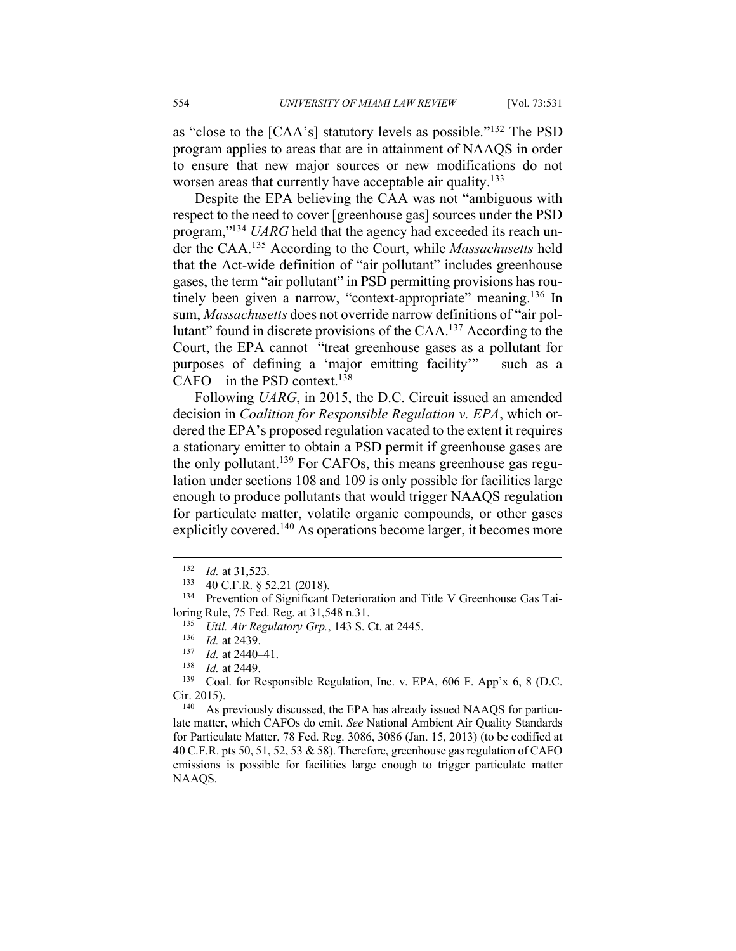as "close to the [CAA's] statutory levels as possible."132 The PSD program applies to areas that are in attainment of NAAQS in order to ensure that new major sources or new modifications do not worsen areas that currently have acceptable air quality.<sup>133</sup>

Despite the EPA believing the CAA was not "ambiguous with respect to the need to cover [greenhouse gas] sources under the PSD program,"134 *UARG* held that the agency had exceeded its reach under the CAA. <sup>135</sup> According to the Court, while *Massachusetts* held that the Act-wide definition of "air pollutant" includes greenhouse gases, the term "air pollutant" in PSD permitting provisions has routinely been given a narrow, "context-appropriate" meaning.<sup>136</sup> In sum, *Massachusetts* does not override narrow definitions of "air pollutant" found in discrete provisions of the CAA.137 According to the Court, the EPA cannot "treat greenhouse gases as a pollutant for purposes of defining a 'major emitting facility'"— such as a CAFO—in the PSD context. 138

Following *UARG*, in 2015, the D.C. Circuit issued an amended decision in *Coalition for Responsible Regulation v. EPA*, which ordered the EPA's proposed regulation vacated to the extent it requires a stationary emitter to obtain a PSD permit if greenhouse gases are the only pollutant.<sup>139</sup> For CAFOs, this means greenhouse gas regulation under sections 108 and 109 is only possible for facilities large enough to produce pollutants that would trigger NAAQS regulation for particulate matter, volatile organic compounds, or other gases explicitly covered.<sup>140</sup> As operations become larger, it becomes more

As previously discussed, the EPA has already issued NAAQS for particulate matter, which CAFOs do emit. *See* National Ambient Air Quality Standards for Particulate Matter, 78 Fed. Reg. 3086, 3086 (Jan. 15, 2013) (to be codified at 40 C.F.R. pts 50, 51, 52, 53  $\&$  58). Therefore, greenhouse gas regulation of CAFO emissions is possible for facilities large enough to trigger particulate matter NAAQS.

 $\frac{132}{133}$  *Id.* at 31,523.

<sup>133</sup> 40 C.F.R. § 52.21 (2018).

<sup>&</sup>lt;sup>134</sup> Prevention of Significant Deterioration and Title V Greenhouse Gas Tailoring Rule, 75 Fed. Reg. at 31,548 n.31.

<sup>135</sup> *Util. Air Regulatory Grp.*, 143 S. Ct. at 2445.

 $\frac{136}{137}$  *Id.* at 2439.

 $\frac{137}{138}$  *Id.* at 2440–41.

 $\frac{138}{139}$  *Id.* at 2449.

Coal. for Responsible Regulation, Inc. v. EPA, 606 F. App'x 6, 8 (D.C. Cir. 2015).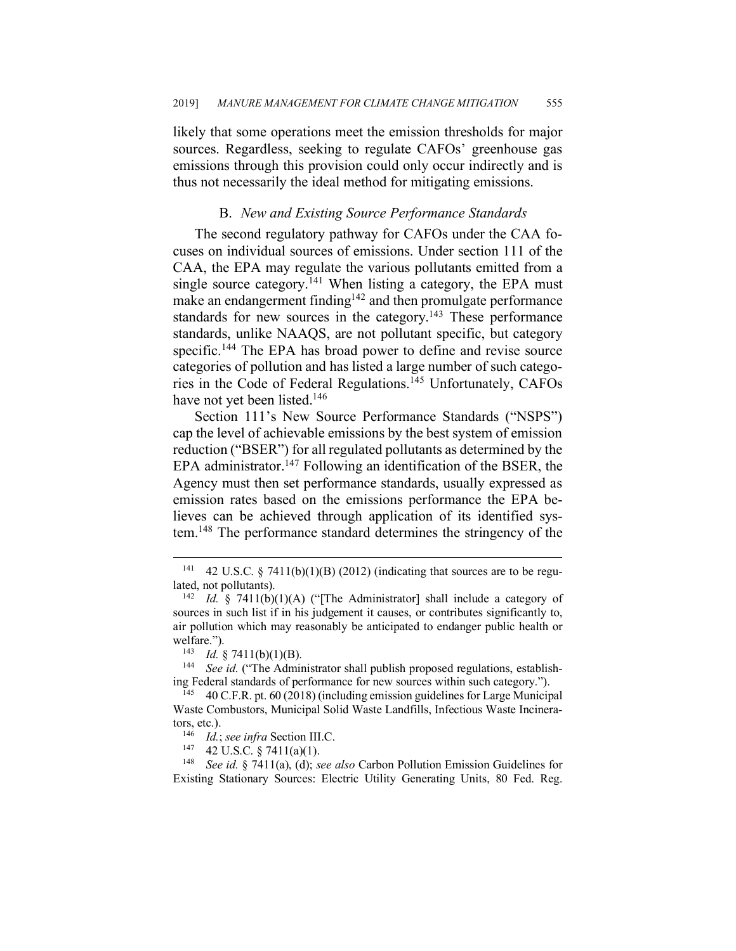likely that some operations meet the emission thresholds for major sources. Regardless, seeking to regulate CAFOs' greenhouse gas emissions through this provision could only occur indirectly and is thus not necessarily the ideal method for mitigating emissions.

## B. *New and Existing Source Performance Standards*

The second regulatory pathway for CAFOs under the CAA focuses on individual sources of emissions. Under section 111 of the CAA, the EPA may regulate the various pollutants emitted from a single source category.<sup>141</sup> When listing a category, the EPA must make an endangerment finding<sup>142</sup> and then promulgate performance standards for new sources in the category.<sup>143</sup> These performance standards, unlike NAAQS, are not pollutant specific, but category specific.<sup>144</sup> The EPA has broad power to define and revise source categories of pollution and has listed a large number of such categories in the Code of Federal Regulations.145 Unfortunately, CAFOs have not yet been listed.<sup>146</sup>

Section 111's New Source Performance Standards ("NSPS") cap the level of achievable emissions by the best system of emission reduction ("BSER") for all regulated pollutants as determined by the EPA administrator.<sup>147</sup> Following an identification of the BSER, the Agency must then set performance standards, usually expressed as emission rates based on the emissions performance the EPA believes can be achieved through application of its identified system.148 The performance standard determines the stringency of the

<sup>148</sup> *See id.* § 7411(a), (d); *see also* Carbon Pollution Emission Guidelines for Existing Stationary Sources: Electric Utility Generating Units, 80 Fed. Reg.

<sup>&</sup>lt;sup>141</sup> 42 U.S.C. § 7411(b)(1)(B) (2012) (indicating that sources are to be regulated, not pollutants).

<sup>142</sup> *Id.* § 7411(b)(1)(A) ("[The Administrator] shall include a category of sources in such list if in his judgement it causes, or contributes significantly to, air pollution which may reasonably be anticipated to endanger public health or welfare.").

<sup>&</sup>lt;sup>143</sup> *Id.* § 7411(b)(1)(B).<br><sup>144</sup> See id. ("The Admin

See id. ("The Administrator shall publish proposed regulations, establishing Federal standards of performance for new sources within such category.").

<sup>145</sup> 40 C.F.R. pt. 60 (2018) (including emission guidelines for Large Municipal Waste Combustors, Municipal Solid Waste Landfills, Infectious Waste Incinerators, etc.).

<sup>&</sup>lt;sup>146</sup> *Id.*; *see infra* Section III.C.<br><sup>147</sup> *A*2 **IISC** & 7411(a)(1)

<sup>42</sup> U.S.C.  $\S$  7411(a)(1).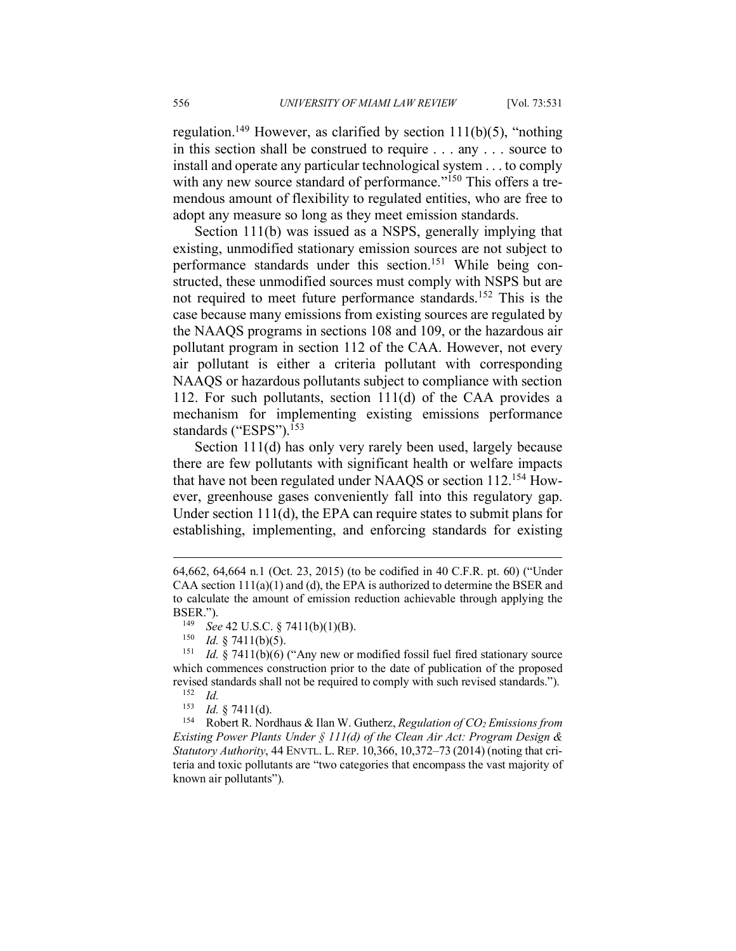regulation.<sup>149</sup> However, as clarified by section  $111(b)(5)$ , "nothing in this section shall be construed to require . . . any . . . source to install and operate any particular technological system . . . to comply with any new source standard of performance."<sup>150</sup> This offers a tremendous amount of flexibility to regulated entities, who are free to adopt any measure so long as they meet emission standards.

Section 111(b) was issued as a NSPS, generally implying that existing, unmodified stationary emission sources are not subject to performance standards under this section. <sup>151</sup> While being constructed, these unmodified sources must comply with NSPS but are not required to meet future performance standards.152 This is the case because many emissions from existing sources are regulated by the NAAQS programs in sections 108 and 109, or the hazardous air pollutant program in section 112 of the CAA. However, not every air pollutant is either a criteria pollutant with corresponding NAAQS or hazardous pollutants subject to compliance with section 112. For such pollutants, section 111(d) of the CAA provides a mechanism for implementing existing emissions performance standards ("ESPS").<sup>153</sup>

Section 111(d) has only very rarely been used, largely because there are few pollutants with significant health or welfare impacts that have not been regulated under NAAQS or section 112.154 However, greenhouse gases conveniently fall into this regulatory gap. Under section 111(d), the EPA can require states to submit plans for establishing, implementing, and enforcing standards for existing

 $\overline{a}$ 

<sup>64,662, 64,664</sup> n.1 (Oct. 23, 2015) (to be codified in 40 C.F.R. pt. 60) ("Under CAA section  $111(a)(1)$  and (d), the EPA is authorized to determine the BSER and to calculate the amount of emission reduction achievable through applying the BSER.").

*See* 42 U.S.C. § 7411(b)(1)(B).

<sup>&</sup>lt;sup>150</sup> *Id.* § 7411(b)(5).<br><sup>151</sup> *Id* § 7411(b)(6)

Id. § 7411(b)(6) ("Any new or modified fossil fuel fired stationary source which commences construction prior to the date of publication of the proposed revised standards shall not be required to comply with such revised standards.").

 $\frac{152}{153}$  *Id.* 

*Id.* § 7411(d).

<sup>154</sup> Robert R. Nordhaus & Ilan W. Gutherz, *Regulation of CO2 Emissions from Existing Power Plants Under § 111(d) of the Clean Air Act: Program Design & Statutory Authority*, 44 ENVTL. L. REP. 10,366, 10,372–73 (2014) (noting that criteria and toxic pollutants are "two categories that encompass the vast majority of known air pollutants").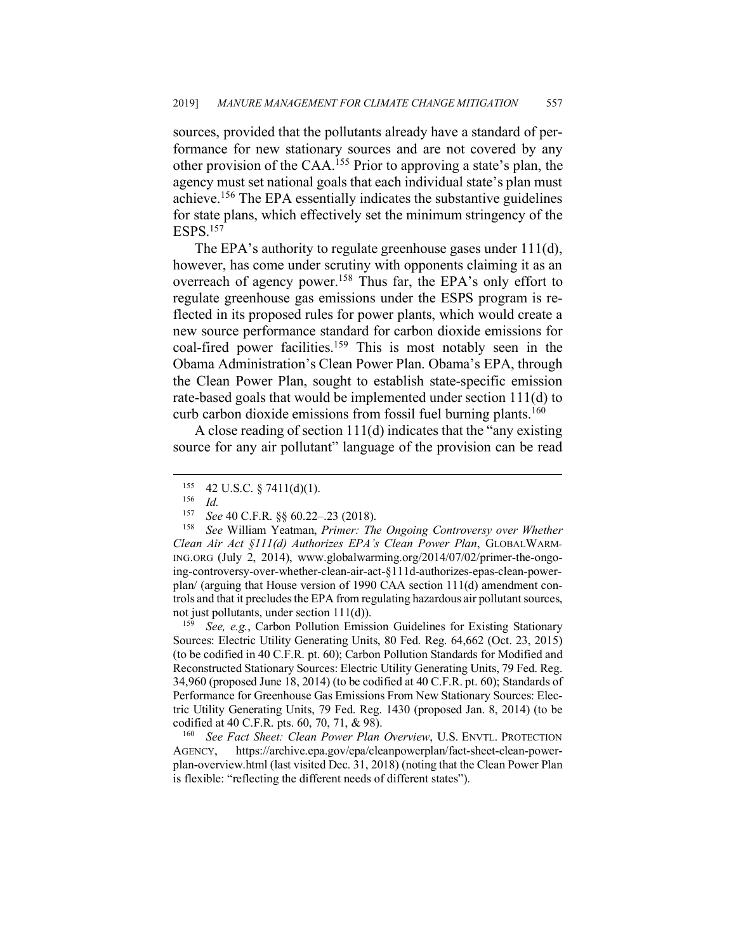sources, provided that the pollutants already have a standard of performance for new stationary sources and are not covered by any other provision of the CAA. <sup>155</sup> Prior to approving a state's plan, the agency must set national goals that each individual state's plan must achieve.156 The EPA essentially indicates the substantive guidelines for state plans, which effectively set the minimum stringency of the ESPS.157

The EPA's authority to regulate greenhouse gases under 111(d), however, has come under scrutiny with opponents claiming it as an overreach of agency power.<sup>158</sup> Thus far, the EPA's only effort to regulate greenhouse gas emissions under the ESPS program is reflected in its proposed rules for power plants, which would create a new source performance standard for carbon dioxide emissions for coal-fired power facilities. <sup>159</sup> This is most notably seen in the Obama Administration's Clean Power Plan. Obama's EPA, through the Clean Power Plan, sought to establish state-specific emission rate-based goals that would be implemented under section 111(d) to curb carbon dioxide emissions from fossil fuel burning plants.<sup>160</sup>

A close reading of section 111(d) indicates that the "any existing source for any air pollutant" language of the provision can be read

Sources: Electric Utility Generating Units, 80 Fed. Reg. 64,662 (Oct. 23, 2015) (to be codified in 40 C.F.R. pt. 60); Carbon Pollution Standards for Modified and Reconstructed Stationary Sources: Electric Utility Generating Units, 79 Fed. Reg. 34,960 (proposed June 18, 2014) (to be codified at 40 C.F.R. pt. 60); Standards of Performance for Greenhouse Gas Emissions From New Stationary Sources: Electric Utility Generating Units, 79 Fed. Reg. 1430 (proposed Jan. 8, 2014) (to be codified at 40 C.F.R. pts. 60, 70, 71, & 98).

<sup>160</sup> *See Fact Sheet: Clean Power Plan Overview*, U.S. ENVTL. PROTECTION AGENCY, https://archive.epa.gov/epa/cleanpowerplan/fact-sheet-clean-powerplan-overview.html (last visited Dec. 31, 2018) (noting that the Clean Power Plan is flexible: "reflecting the different needs of different states").

 $^{155}_{156}$  42 U.S.C. § 7411(d)(1).

 $\frac{156}{157}$  *Id.* 

<sup>157</sup> *See* 40 C.F.R. §§ 60.22–.23 (2018).

See William Yeatman, *Primer: The Ongoing Controversy over Whether Clean Air Act §111(d) Authorizes EPA's Clean Power Plan*, GLOBALWARM-ING.ORG (July 2, 2014), www.globalwarming.org/2014/07/02/primer-the-ongoing-controversy-over-whether-clean-air-act-§111d-authorizes-epas-clean-powerplan/ (arguing that House version of 1990 CAA section 111(d) amendment controls and that it precludes the EPA from regulating hazardous air pollutant sources, not just pollutants, under section 111(d)).<br><sup>159</sup> *See, e.g.*, Carbon Pollution Emission Guidelines for Existing Stationary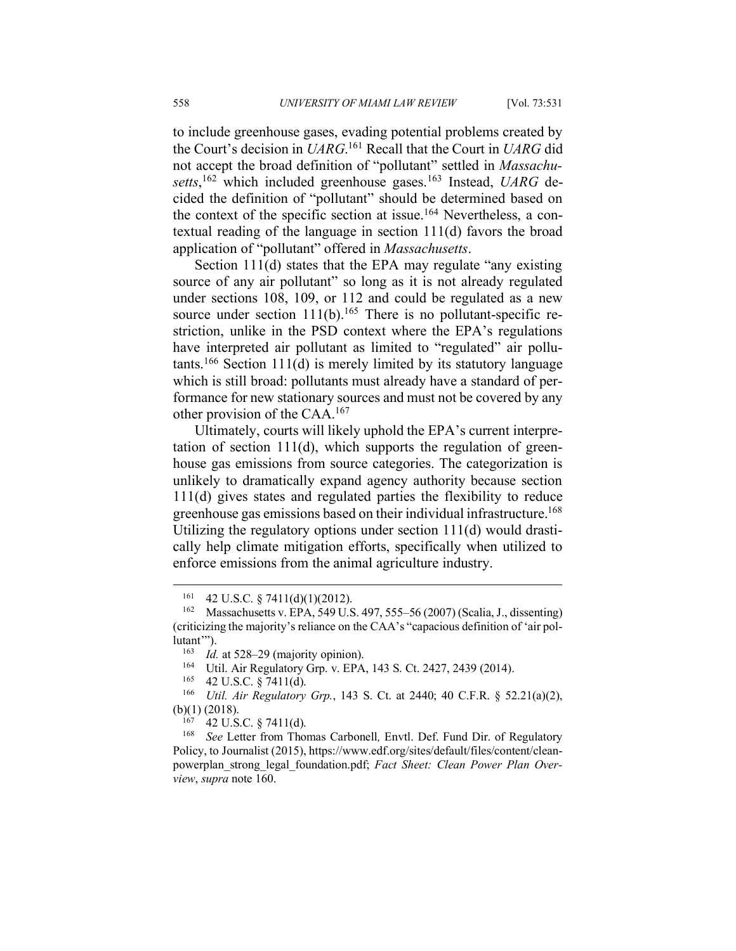to include greenhouse gases, evading potential problems created by the Court's decision in *UARG*. <sup>161</sup> Recall that the Court in *UARG* did not accept the broad definition of "pollutant" settled in *Massachusetts*, <sup>162</sup> which included greenhouse gases.163 Instead, *UARG* decided the definition of "pollutant" should be determined based on the context of the specific section at issue.<sup>164</sup> Nevertheless, a contextual reading of the language in section 111(d) favors the broad application of "pollutant" offered in *Massachusetts*.

Section 111(d) states that the EPA may regulate "any existing source of any air pollutant" so long as it is not already regulated under sections 108, 109, or 112 and could be regulated as a new source under section  $111(b)$ .<sup>165</sup> There is no pollutant-specific restriction, unlike in the PSD context where the EPA's regulations have interpreted air pollutant as limited to "regulated" air pollutants.<sup>166</sup> Section 111(d) is merely limited by its statutory language which is still broad: pollutants must already have a standard of performance for new stationary sources and must not be covered by any other provision of the CAA. 167

Ultimately, courts will likely uphold the EPA's current interpretation of section  $111(d)$ , which supports the regulation of greenhouse gas emissions from source categories. The categorization is unlikely to dramatically expand agency authority because section 111(d) gives states and regulated parties the flexibility to reduce greenhouse gas emissions based on their individual infrastructure.<sup>168</sup> Utilizing the regulatory options under section 111(d) would drastically help climate mitigation efforts, specifically when utilized to enforce emissions from the animal agriculture industry.

 $161$  42 U.S.C. § 7411(d)(1)(2012).

<sup>162</sup> Massachusetts v. EPA, 549 U.S. 497, 555–56 (2007) (Scalia, J., dissenting) (criticizing the majority's reliance on the CAA's "capacious definition of 'air pollutant'").

<sup>&</sup>lt;sup>163</sup> *Id.* at 528–29 (majority opinion).<br><sup>164</sup> **I**Itil Air Requlatory Grp v  $\overline{FPA}$ 

<sup>&</sup>lt;sup>164</sup> Util. Air Regulatory Grp. v. EPA, 143 S. Ct. 2427, 2439 (2014).

<sup>&</sup>lt;sup>165</sup> 42 U.S.C. § 7411(d).<br><sup>166</sup> *Util Air Regulatory* 

<sup>166</sup> *Util. Air Regulatory Grp.*, 143 S. Ct. at 2440; 40 C.F.R. § 52.21(a)(2), (b)(1) (2018).

 $167$  42 U.S.C. § 7411(d).

<sup>&</sup>lt;sup>168</sup> *See* Letter from Thomas Carbonell, Envtl. Def. Fund Dir. of Regulatory Policy, to Journalist (2015), https://www.edf.org/sites/default/files/content/cleanpowerplan\_strong\_legal\_foundation.pdf; *Fact Sheet: Clean Power Plan Overview*, *supra* note 160.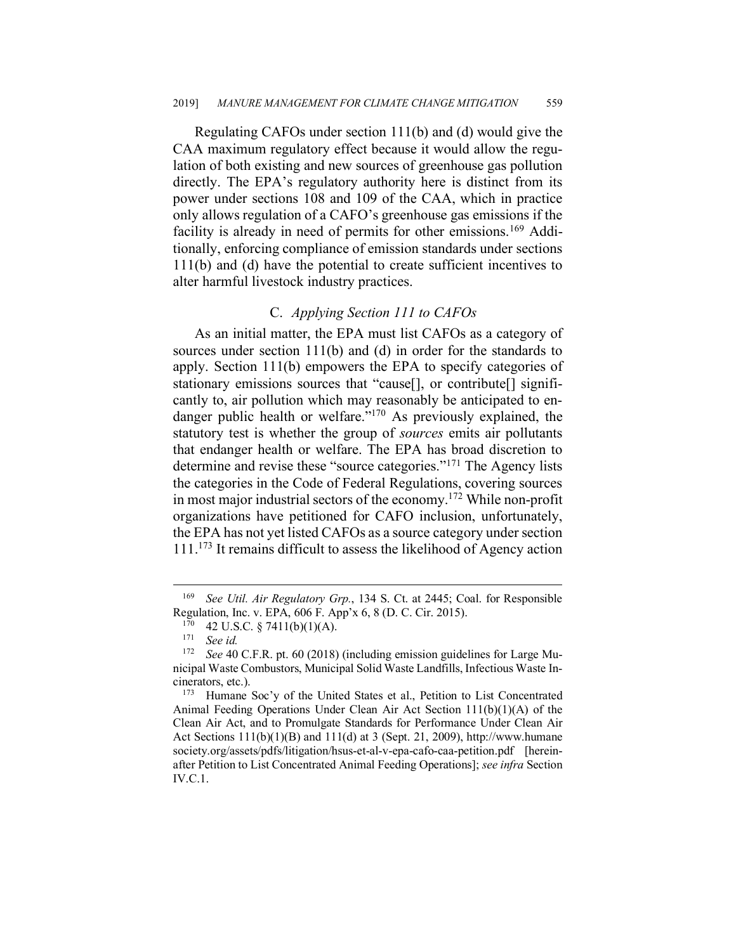Regulating CAFOs under section 111(b) and (d) would give the CAA maximum regulatory effect because it would allow the regulation of both existing and new sources of greenhouse gas pollution directly. The EPA's regulatory authority here is distinct from its power under sections 108 and 109 of the CAA, which in practice only allows regulation of a CAFO's greenhouse gas emissions if the facility is already in need of permits for other emissions.<sup>169</sup> Additionally, enforcing compliance of emission standards under sections 111(b) and (d) have the potential to create sufficient incentives to alter harmful livestock industry practices.

## C. *Applying Section 111 to CAFOs*

As an initial matter, the EPA must list CAFOs as a category of sources under section 111(b) and (d) in order for the standards to apply. Section 111(b) empowers the EPA to specify categories of stationary emissions sources that "cause[], or contribute[] significantly to, air pollution which may reasonably be anticipated to endanger public health or welfare."<sup>170</sup> As previously explained, the statutory test is whether the group of *sources* emits air pollutants that endanger health or welfare. The EPA has broad discretion to determine and revise these "source categories."171 The Agency lists the categories in the Code of Federal Regulations, covering sources in most major industrial sectors of the economy.172 While non-profit organizations have petitioned for CAFO inclusion, unfortunately, the EPA has not yet listed CAFOs as a source category under section 111.<sup>173</sup> It remains difficult to assess the likelihood of Agency action

 <sup>169</sup> *See Util. Air Regulatory Grp.*, 134 S. Ct. at 2445; Coal. for Responsible Regulation, Inc. v. EPA, 606 F. App'x 6, 8 (D. C. Cir. 2015).

 $^{170}$  42 U.S.C. § 7411(b)(1)(A).

<sup>&</sup>lt;sup>171</sup> *See id.*<br><sup>172</sup> *See* 40

See 40 C.F.R. pt. 60 (2018) (including emission guidelines for Large Municipal Waste Combustors, Municipal Solid Waste Landfills, Infectious Waste Incinerators, etc.).

<sup>173</sup> Humane Soc'y of the United States et al., Petition to List Concentrated Animal Feeding Operations Under Clean Air Act Section  $111(b)(1)(A)$  of the Clean Air Act, and to Promulgate Standards for Performance Under Clean Air Act Sections  $111(b)(1)(B)$  and  $111(d)$  at 3 (Sept. 21, 2009), http://www.humane society.org/assets/pdfs/litigation/hsus-et-al-v-epa-cafo-caa-petition.pdf [hereinafter Petition to List Concentrated Animal Feeding Operations]; *see infra* Section IV.C.1.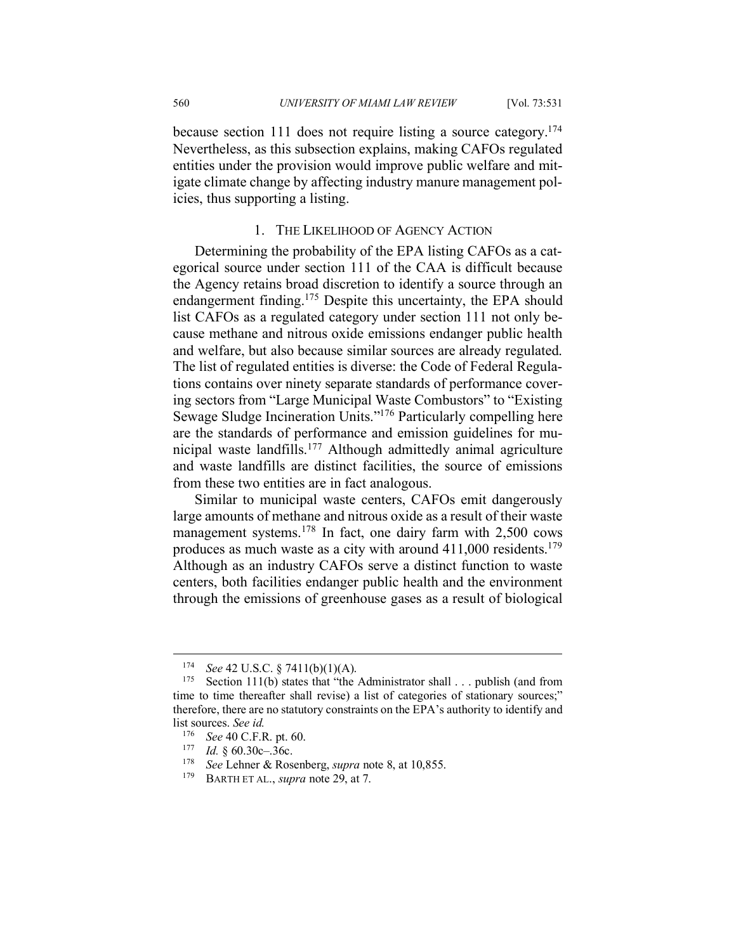because section 111 does not require listing a source category.174 Nevertheless, as this subsection explains, making CAFOs regulated entities under the provision would improve public welfare and mitigate climate change by affecting industry manure management policies, thus supporting a listing.

#### 1. THE LIKELIHOOD OF AGENCY ACTION

Determining the probability of the EPA listing CAFOs as a categorical source under section 111 of the CAA is difficult because the Agency retains broad discretion to identify a source through an endangerment finding.<sup>175</sup> Despite this uncertainty, the EPA should list CAFOs as a regulated category under section 111 not only because methane and nitrous oxide emissions endanger public health and welfare, but also because similar sources are already regulated. The list of regulated entities is diverse: the Code of Federal Regulations contains over ninety separate standards of performance covering sectors from "Large Municipal Waste Combustors" to "Existing Sewage Sludge Incineration Units."176 Particularly compelling here are the standards of performance and emission guidelines for municipal waste landfills.177 Although admittedly animal agriculture and waste landfills are distinct facilities, the source of emissions from these two entities are in fact analogous.

Similar to municipal waste centers, CAFOs emit dangerously large amounts of methane and nitrous oxide as a result of their waste management systems.178 In fact, one dairy farm with 2,500 cows produces as much waste as a city with around 411,000 residents.179 Although as an industry CAFOs serve a distinct function to waste centers, both facilities endanger public health and the environment through the emissions of greenhouse gases as a result of biological

<sup>&</sup>lt;sup>174</sup> *See* 42 U.S.C. § 7411(b)(1)(A).<br><sup>175</sup> Section 111(b) states that "the

Section 111(b) states that "the Administrator shall  $\ldots$  publish (and from time to time thereafter shall revise) a list of categories of stationary sources;" therefore, there are no statutory constraints on the EPA's authority to identify and list sources. *See id.*

<sup>&</sup>lt;sup>176</sup> *See* 40 C.F.R. pt. 60.<br><sup>177</sup> *Id* 8 60 30c 36c

*Id.* § 60.30c–.36c.

<sup>&</sup>lt;sup>178</sup> *See* Lehner & Rosenberg, *supra* note 8, at 10,855.

BARTH ET AL., *supra* note 29, at 7.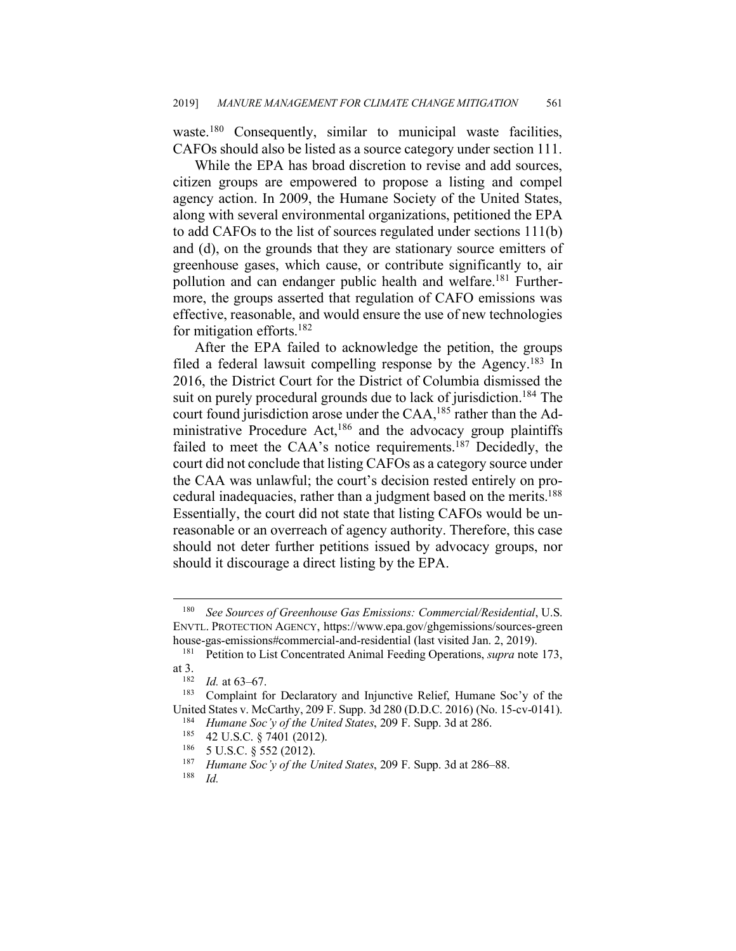waste.<sup>180</sup> Consequently, similar to municipal waste facilities, CAFOs should also be listed as a source category under section 111.

While the EPA has broad discretion to revise and add sources, citizen groups are empowered to propose a listing and compel agency action. In 2009, the Humane Society of the United States, along with several environmental organizations, petitioned the EPA to add CAFOs to the list of sources regulated under sections 111(b) and (d), on the grounds that they are stationary source emitters of greenhouse gases, which cause, or contribute significantly to, air pollution and can endanger public health and welfare.<sup>181</sup> Furthermore, the groups asserted that regulation of CAFO emissions was effective, reasonable, and would ensure the use of new technologies for mitigation efforts.182

After the EPA failed to acknowledge the petition, the groups filed a federal lawsuit compelling response by the Agency.<sup>183</sup> In 2016, the District Court for the District of Columbia dismissed the suit on purely procedural grounds due to lack of jurisdiction.<sup>184</sup> The court found jurisdiction arose under the CAA,<sup>185</sup> rather than the Administrative Procedure Act,<sup>186</sup> and the advocacy group plaintiffs failed to meet the CAA's notice requirements.<sup>187</sup> Decidedly, the court did not conclude that listing CAFOs as a category source under the CAA was unlawful; the court's decision rested entirely on procedural inadequacies, rather than a judgment based on the merits.<sup>188</sup> Essentially, the court did not state that listing CAFOs would be unreasonable or an overreach of agency authority. Therefore, this case should not deter further petitions issued by advocacy groups, nor should it discourage a direct listing by the EPA.

 <sup>180</sup> *See Sources of Greenhouse Gas Emissions: Commercial/Residential*, U.S. ENVTL. PROTECTION AGENCY, https://www.epa.gov/ghgemissions/sources-green house-gas-emissions#commercial-and-residential (last visited Jan. 2, 2019).

<sup>181</sup> Petition to List Concentrated Animal Feeding Operations, *supra* note 173, at 3.

 $\frac{182}{183}$  *Id.* at 63–67.

Complaint for Declaratory and Injunctive Relief, Humane Soc'y of the United States v. McCarthy, 209 F. Supp. 3d 280 (D.D.C. 2016) (No. 15-cv-0141).<br><sup>184</sup> *Humane Soc'y of the United States*, 209 F. Supp. 3d at 286.<br><sup>185</sup> 42 U.S.C. § 7401 (2012).<br><sup>186</sup> 5 U.S.C. § 552 (2012).

<sup>5</sup> U.S.C. § 552 (2012).

<sup>187</sup> *Humane Soc'y of the United States*, 209 F. Supp. 3d at 286–88.

*Id.*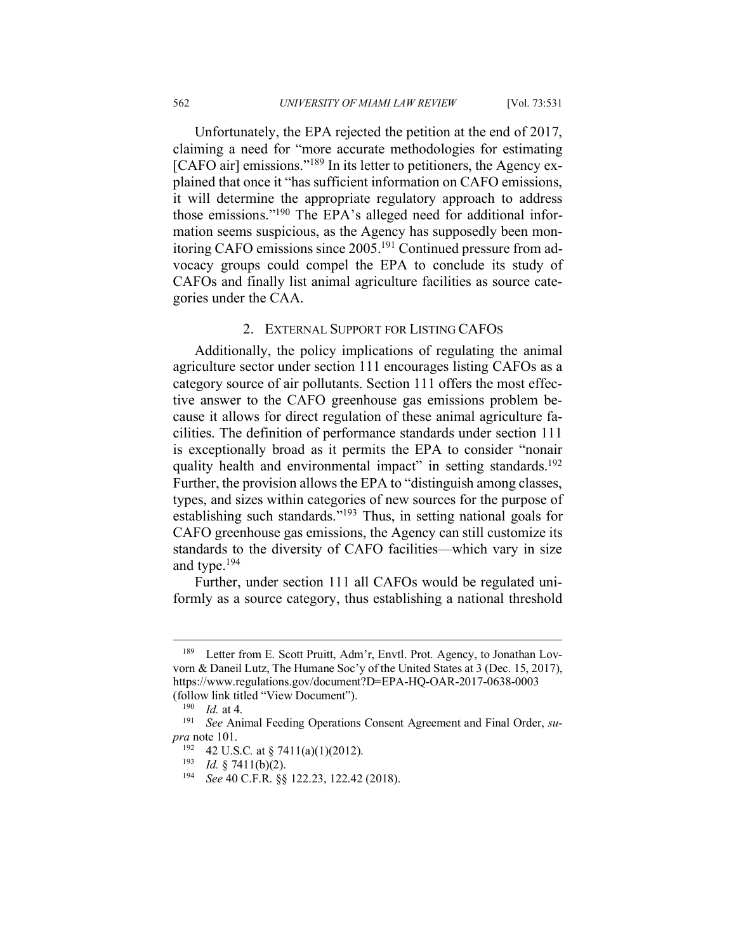Unfortunately, the EPA rejected the petition at the end of 2017, claiming a need for "more accurate methodologies for estimating [CAFO air] emissions."<sup>189</sup> In its letter to petitioners, the Agency explained that once it "has sufficient information on CAFO emissions, it will determine the appropriate regulatory approach to address those emissions."190 The EPA's alleged need for additional information seems suspicious, as the Agency has supposedly been monitoring CAFO emissions since 2005.191 Continued pressure from advocacy groups could compel the EPA to conclude its study of CAFOs and finally list animal agriculture facilities as source categories under the CAA.

### 2. EXTERNAL SUPPORT FOR LISTING CAFOS

Additionally, the policy implications of regulating the animal agriculture sector under section 111 encourages listing CAFOs as a category source of air pollutants. Section 111 offers the most effective answer to the CAFO greenhouse gas emissions problem because it allows for direct regulation of these animal agriculture facilities. The definition of performance standards under section 111 is exceptionally broad as it permits the EPA to consider "nonair quality health and environmental impact" in setting standards.<sup>192</sup> Further, the provision allows the EPA to "distinguish among classes, types, and sizes within categories of new sources for the purpose of establishing such standards."193 Thus, in setting national goals for CAFO greenhouse gas emissions, the Agency can still customize its standards to the diversity of CAFO facilities—which vary in size and type.194

Further, under section 111 all CAFOs would be regulated uniformly as a source category, thus establishing a national threshold

<sup>&</sup>lt;sup>189</sup> Letter from E. Scott Pruitt, Adm'r, Envtl. Prot. Agency, to Jonathan Lovvorn & Daneil Lutz, The Humane Soc'y of the United States at 3 (Dec. 15, 2017), https://www.regulations.gov/document?D=EPA-HQ-OAR-2017-0638-0003 (follow link titled "View Document").

<sup>&</sup>lt;sup>190</sup> *Id.* at 4.<br><sup>191</sup> *See* Ani

See Animal Feeding Operations Consent Agreement and Final Order, *supra* note 101.<br><sup>192</sup> 42 U.S.C. at § 7411(a)(1)(2012).

<sup>&</sup>lt;sup>193</sup> *Id.* § 7411(b)(2).<br><sup>194</sup> See 40 C F R 88

See 40 C.F.R. §§ 122.23, 122.42 (2018).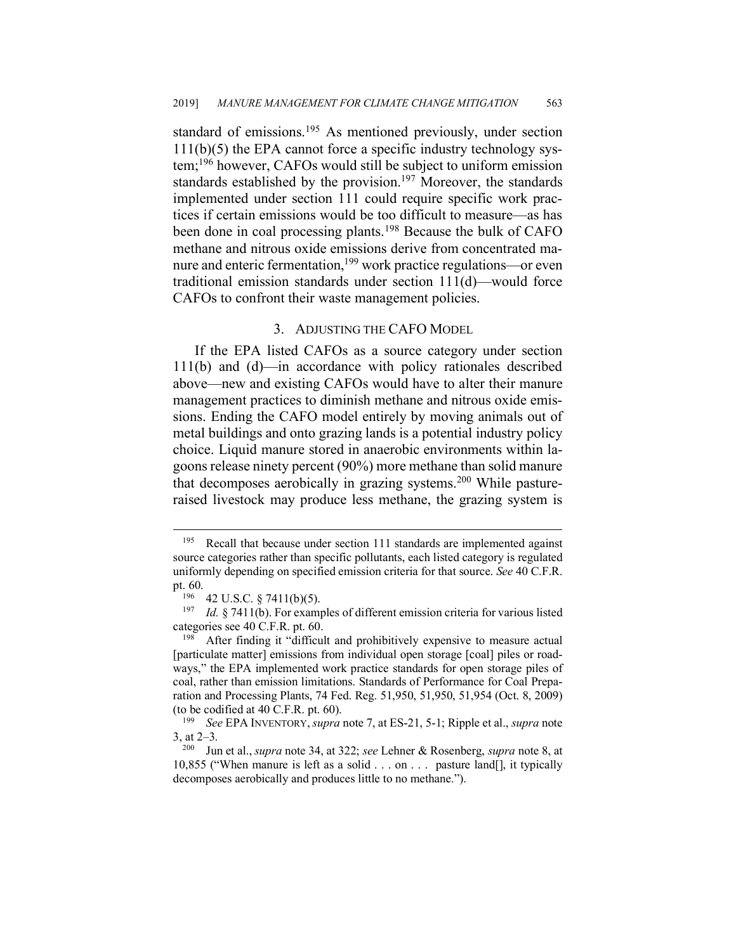standard of emissions. <sup>195</sup> As mentioned previously, under section  $111(b)(5)$  the EPA cannot force a specific industry technology system;196 however, CAFOs would still be subject to uniform emission standards established by the provision.<sup>197</sup> Moreover, the standards implemented under section 111 could require specific work practices if certain emissions would be too difficult to measure—as has been done in coal processing plants. <sup>198</sup> Because the bulk of CAFO methane and nitrous oxide emissions derive from concentrated manure and enteric fermentation,<sup>199</sup> work practice regulations—or even traditional emission standards under section 111(d)—would force CAFOs to confront their waste management policies.

#### 3. ADJUSTING THE CAFO MODEL

If the EPA listed CAFOs as a source category under section 111(b) and (d)—in accordance with policy rationales described above—new and existing CAFOs would have to alter their manure management practices to diminish methane and nitrous oxide emissions. Ending the CAFO model entirely by moving animals out of metal buildings and onto grazing lands is a potential industry policy choice. Liquid manure stored in anaerobic environments within lagoons release ninety percent (90%) more methane than solid manure that decomposes aerobically in grazing systems.<sup>200</sup> While pastureraised livestock may produce less methane, the grazing system is

<sup>&</sup>lt;sup>195</sup> Recall that because under section 111 standards are implemented against source categories rather than specific pollutants, each listed category is regulated uniformly depending on specified emission criteria for that source. *See* 40 C.F.R. pt. 60.

<sup>196</sup> 42 U.S.C. § 7411(b)(5).

<sup>197</sup> *Id.* § 7411(b). For examples of different emission criteria for various listed categories see 40 C.F.R. pt. 60.

<sup>&</sup>lt;sup>198</sup> After finding it "difficult and prohibitively expensive to measure actual [particulate matter] emissions from individual open storage [coal] piles or roadways," the EPA implemented work practice standards for open storage piles of coal, rather than emission limitations. Standards of Performance for Coal Preparation and Processing Plants, 74 Fed. Reg. 51,950, 51,950, 51,954 (Oct. 8, 2009) (to be codified at 40 C.F.R. pt. 60).

<sup>199</sup> *See* EPA INVENTORY, *supra* note 7, at ES-21, 5-1; Ripple et al., *supra* note 3, at 2–3.

<sup>200</sup> Jun et al., *supra* note 34, at 322; *see* Lehner & Rosenberg, *supra* note 8, at 10,855 ("When manure is left as a solid . . . on . . . pasture land[], it typically decomposes aerobically and produces little to no methane.").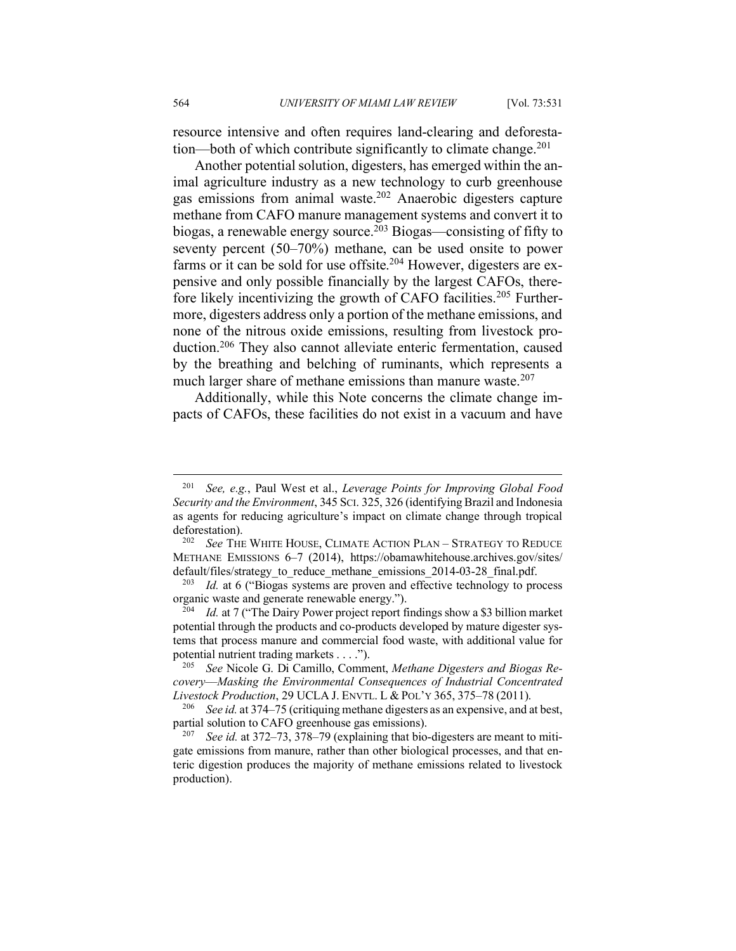resource intensive and often requires land-clearing and deforestation—both of which contribute significantly to climate change.<sup>201</sup>

Another potential solution, digesters, has emerged within the animal agriculture industry as a new technology to curb greenhouse gas emissions from animal waste.<sup>202</sup> Anaerobic digesters capture methane from CAFO manure management systems and convert it to biogas, a renewable energy source.<sup>203</sup> Biogas—consisting of fifty to seventy percent (50–70%) methane, can be used onsite to power farms or it can be sold for use offsite.<sup>204</sup> However, digesters are expensive and only possible financially by the largest CAFOs, therefore likely incentivizing the growth of CAFO facilities.<sup>205</sup> Furthermore, digesters address only a portion of the methane emissions, and none of the nitrous oxide emissions, resulting from livestock production.206 They also cannot alleviate enteric fermentation, caused by the breathing and belching of ruminants, which represents a much larger share of methane emissions than manure waste.<sup>207</sup>

Additionally, while this Note concerns the climate change impacts of CAFOs, these facilities do not exist in a vacuum and have

 <sup>201</sup> *See, e.g.*, Paul West et al., *Leverage Points for Improving Global Food Security and the Environment*, 345 SCI. 325, 326 (identifying Brazil and Indonesia as agents for reducing agriculture's impact on climate change through tropical deforestation).<br><sup>202</sup> *See* The White House, Climate Action Plan – Strategy to Reduce

METHANE EMISSIONS 6–7 (2014), https://obamawhitehouse.archives.gov/sites/ default/files/strategy\_to\_reduce\_methane\_emissions\_2014-03-28\_final.pdf.

*Id.* at 6 ("Biogas systems are proven and effective technology to process organic waste and generate renewable energy.").

<sup>&</sup>lt;sup>204</sup> *Id.* at 7 ("The Dairy Power project report findings show a \$3 billion market potential through the products and co-products developed by mature digester systems that process manure and commercial food waste, with additional value for potential nutrient trading markets . . . ."). 205 *See* Nicole G. Di Camillo, Comment, *Methane Digesters and Biogas Re-*

*covery––Masking the Environmental Consequences of Industrial Concentrated Livestock Production*, 29 UCLA J. ENVTL. L & POL'Y 365, 375–78 (2011).

<sup>206</sup> *See id.* at 374–75 (critiquing methane digesters as an expensive, and at best, partial solution to CAFO greenhouse gas emissions).

See *id.* at 372–73, 378–79 (explaining that bio-digesters are meant to mitigate emissions from manure, rather than other biological processes, and that enteric digestion produces the majority of methane emissions related to livestock production).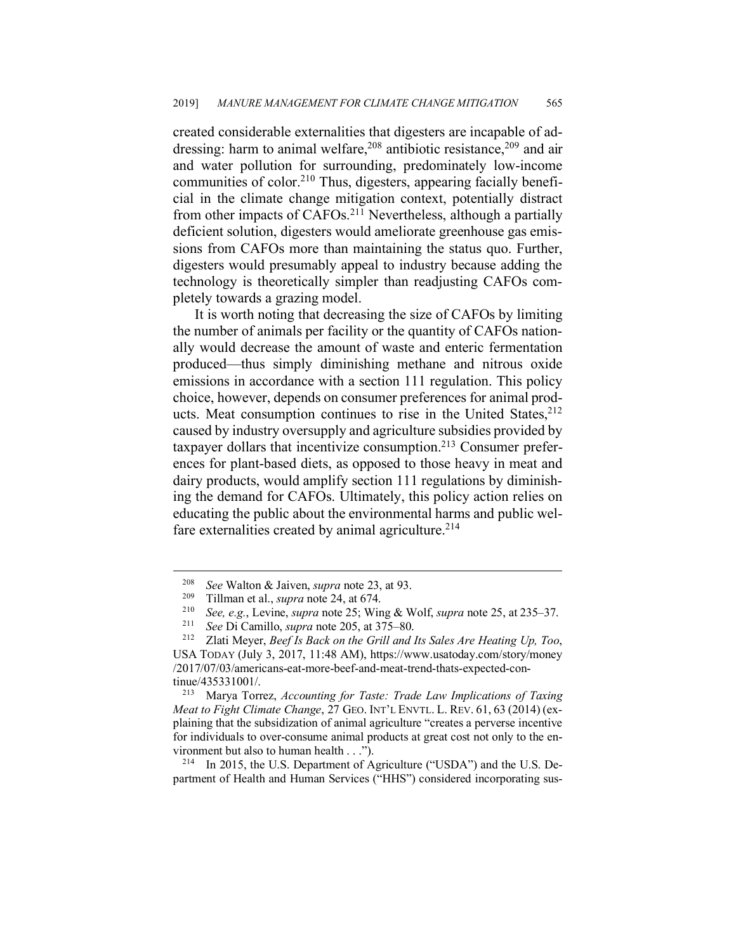created considerable externalities that digesters are incapable of addressing: harm to animal welfare, <sup>208</sup> antibiotic resistance, <sup>209</sup> and air and water pollution for surrounding, predominately low-income communities of color. <sup>210</sup> Thus, digesters, appearing facially beneficial in the climate change mitigation context, potentially distract from other impacts of CAFOs.<sup>211</sup> Nevertheless, although a partially deficient solution, digesters would ameliorate greenhouse gas emissions from CAFOs more than maintaining the status quo. Further, digesters would presumably appeal to industry because adding the technology is theoretically simpler than readjusting CAFOs completely towards a grazing model.

It is worth noting that decreasing the size of CAFOs by limiting the number of animals per facility or the quantity of CAFOs nationally would decrease the amount of waste and enteric fermentation produced—thus simply diminishing methane and nitrous oxide emissions in accordance with a section 111 regulation. This policy choice, however, depends on consumer preferences for animal products. Meat consumption continues to rise in the United States, 212 caused by industry oversupply and agriculture subsidies provided by taxpayer dollars that incentivize consumption.213 Consumer preferences for plant-based diets, as opposed to those heavy in meat and dairy products, would amplify section 111 regulations by diminishing the demand for CAFOs. Ultimately, this policy action relies on educating the public about the environmental harms and public welfare externalities created by animal agriculture.<sup>214</sup>

<sup>214</sup> In 2015, the U.S. Department of Agriculture ("USDA") and the U.S. Department of Health and Human Services ("HHS") considered incorporating sus-

<sup>208</sup> *See* Walton & Jaiven, *supra* note 23, at 93. 209 Tillman et al., *supra* note 24, at 674.

<sup>&</sup>lt;sup>210</sup> *See, e.g.*, Levine, *supra* note 25; Wing & Wolf, *supra* note 25, at 235–37.

See Di Camillo, *supra* note 205, at 375–80.

<sup>212</sup> Zlati Meyer, *Beef Is Back on the Grill and Its Sales Are Heating Up, Too*, USA TODAY (July 3, 2017, 11:48 AM), https://www.usatoday.com/story/money /2017/07/03/americans-eat-more-beef-and-meat-trend-thats-expected-continue/435331001/.

<sup>213</sup> Marya Torrez, *Accounting for Taste: Trade Law Implications of Taxing Meat to Fight Climate Change*, 27 GEO. INT'L ENVTL. L. REV. 61, 63 (2014) (explaining that the subsidization of animal agriculture "creates a perverse incentive for individuals to over-consume animal products at great cost not only to the environment but also to human health . . .").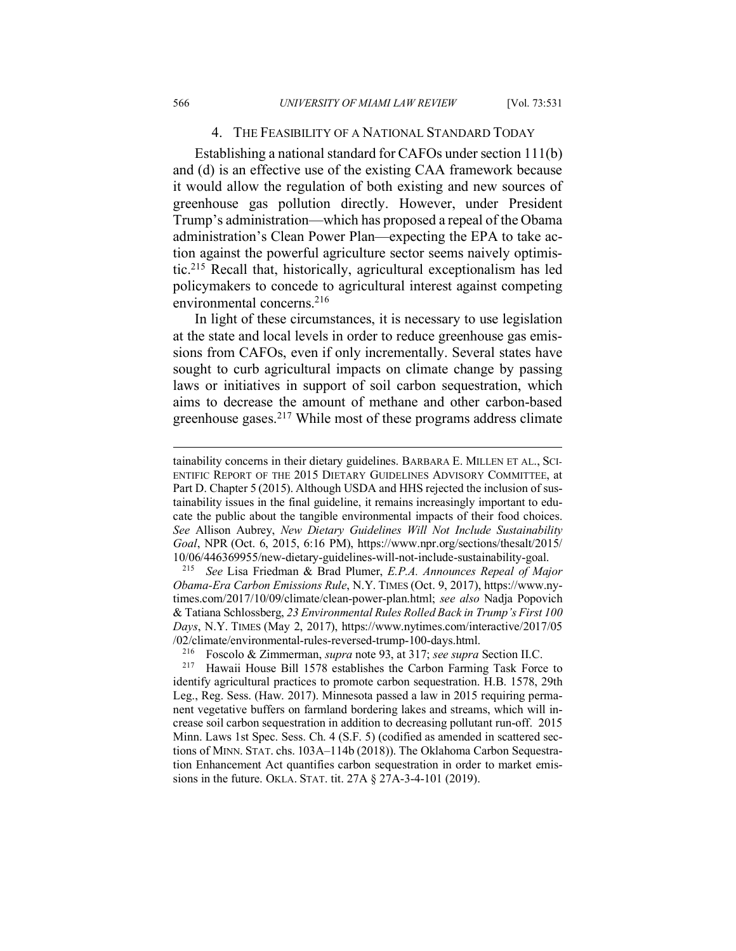#### 4. THE FEASIBILITY OF A NATIONAL STANDARD TODAY

Establishing a national standard for CAFOs under section 111(b) and (d) is an effective use of the existing CAA framework because it would allow the regulation of both existing and new sources of greenhouse gas pollution directly. However, under President Trump's administration—which has proposed a repeal of the Obama administration's Clean Power Plan—expecting the EPA to take action against the powerful agriculture sector seems naively optimistic.215 Recall that, historically, agricultural exceptionalism has led policymakers to concede to agricultural interest against competing environmental concerns.<sup>216</sup>

In light of these circumstances, it is necessary to use legislation at the state and local levels in order to reduce greenhouse gas emissions from CAFOs, even if only incrementally. Several states have sought to curb agricultural impacts on climate change by passing laws or initiatives in support of soil carbon sequestration, which aims to decrease the amount of methane and other carbon-based greenhouse gases. <sup>217</sup> While most of these programs address climate

 $\overline{a}$ 

tainability concerns in their dietary guidelines. BARBARA E. MILLEN ET AL., SCI-ENTIFIC REPORT OF THE 2015 DIETARY GUIDELINES ADVISORY COMMITTEE, at Part D. Chapter 5 (2015). Although USDA and HHS rejected the inclusion of sustainability issues in the final guideline, it remains increasingly important to educate the public about the tangible environmental impacts of their food choices. *See* Allison Aubrey, *New Dietary Guidelines Will Not Include Sustainability Goal*, NPR (Oct. 6, 2015, 6:16 PM), https://www.npr.org/sections/thesalt/2015/ 10/06/446369955/new-dietary-guidelines-will-not-include-sustainability-goal.

<sup>215</sup> *See* Lisa Friedman & Brad Plumer, *E.P.A. Announces Repeal of Major Obama-Era Carbon Emissions Rule*, N.Y. TIMES (Oct. 9, 2017), https://www.nytimes.com/2017/10/09/climate/clean-power-plan.html; *see also* Nadja Popovich & Tatiana Schlossberg, *23 Environmental Rules Rolled Back in Trump's First 100 Days*, N.Y. TIMES (May 2, 2017), https://www.nytimes.com/interactive/2017/05  $/02$ /climate/environmental-rules-reversed-trump-100-days.html.<br> $^{216}$  Eosoolo & Zimmerman, sunga pote 03, at 317; see sunga

<sup>216</sup> Foscolo & Zimmerman, *supra* note 93, at 317; *see supra* Section II.C.

Hawaii House Bill 1578 establishes the Carbon Farming Task Force to identify agricultural practices to promote carbon sequestration. H.B. 1578, 29th Leg., Reg. Sess. (Haw. 2017). Minnesota passed a law in 2015 requiring permanent vegetative buffers on farmland bordering lakes and streams, which will increase soil carbon sequestration in addition to decreasing pollutant run-off. 2015 Minn. Laws 1st Spec. Sess. Ch. 4 (S.F. 5) (codified as amended in scattered sections of MINN. STAT. chs. 103A–114b (2018)). The Oklahoma Carbon Sequestration Enhancement Act quantifies carbon sequestration in order to market emissions in the future. OKLA. STAT. tit. 27A § 27A-3-4-101 (2019).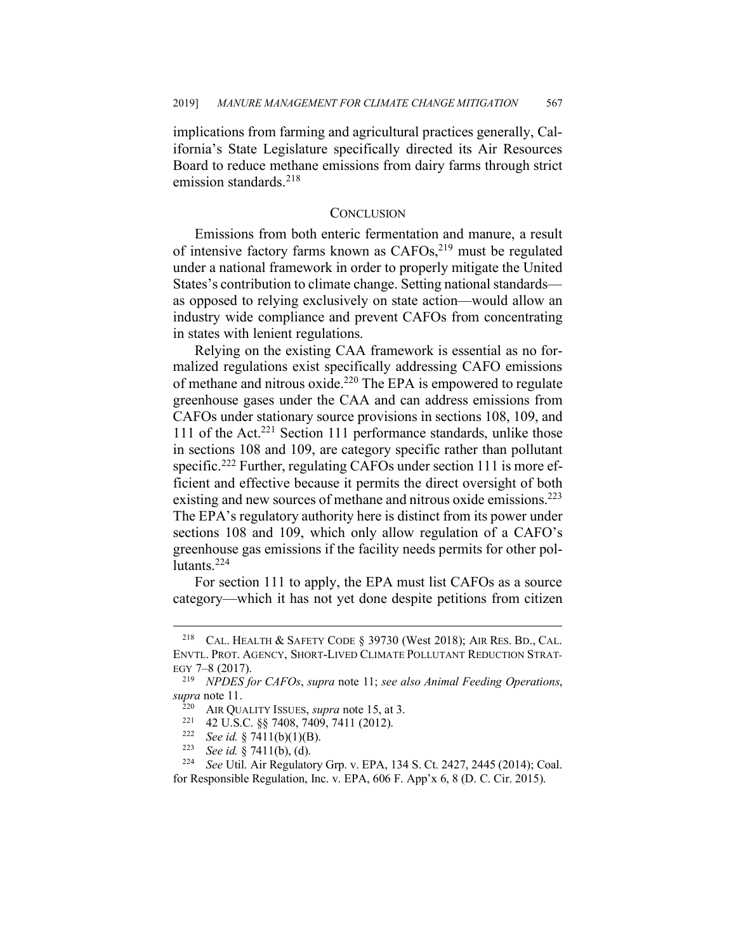implications from farming and agricultural practices generally, California's State Legislature specifically directed its Air Resources Board to reduce methane emissions from dairy farms through strict emission standards. 218

#### **CONCLUSION**

Emissions from both enteric fermentation and manure, a result of intensive factory farms known as CAFOs, <sup>219</sup> must be regulated under a national framework in order to properly mitigate the United States's contribution to climate change. Setting national standards as opposed to relying exclusively on state action—would allow an industry wide compliance and prevent CAFOs from concentrating in states with lenient regulations.

Relying on the existing CAA framework is essential as no formalized regulations exist specifically addressing CAFO emissions of methane and nitrous oxide.220 The EPA is empowered to regulate greenhouse gases under the CAA and can address emissions from CAFOs under stationary source provisions in sections 108, 109, and 111 of the Act.<sup>221</sup> Section 111 performance standards, unlike those in sections 108 and 109, are category specific rather than pollutant specific.<sup>222</sup> Further, regulating CAFOs under section 111 is more efficient and effective because it permits the direct oversight of both existing and new sources of methane and nitrous oxide emissions.<sup>223</sup> The EPA's regulatory authority here is distinct from its power under sections 108 and 109, which only allow regulation of a CAFO's greenhouse gas emissions if the facility needs permits for other pollutants.<sup>224</sup>

For section 111 to apply, the EPA must list CAFOs as a source category—which it has not yet done despite petitions from citizen

<sup>223</sup> *See id.* § 7411(b), (d).

 <sup>218</sup> CAL. HEALTH & SAFETY CODE § 39730 (West 2018); AIR RES. BD., CAL. ENVTL. PROT. AGENCY, SHORT-LIVED CLIMATE POLLUTANT REDUCTION STRAT-EGY 7–8 (2017).

<sup>219</sup> *NPDES for CAFOs*, *supra* note 11; *see also Animal Feeding Operations*, *supra* note 11.

<sup>&</sup>lt;sup>220</sup> AIR QUALITY ISSUES, *supra* note 15, at 3.<br><sup>221</sup> 42 U.S.C. §§ 7408, 7409, 7411 (2012).

<sup>&</sup>lt;sup>222</sup> *See id.* § 7411(b)(1)(B).<br><sup>223</sup> *See id.* § 7411(b) (d)

<sup>224</sup> *See* Util. Air Regulatory Grp. v. EPA, 134 S. Ct. 2427, 2445 (2014); Coal. for Responsible Regulation, Inc. v. EPA, 606 F. App'x 6, 8 (D. C. Cir. 2015).